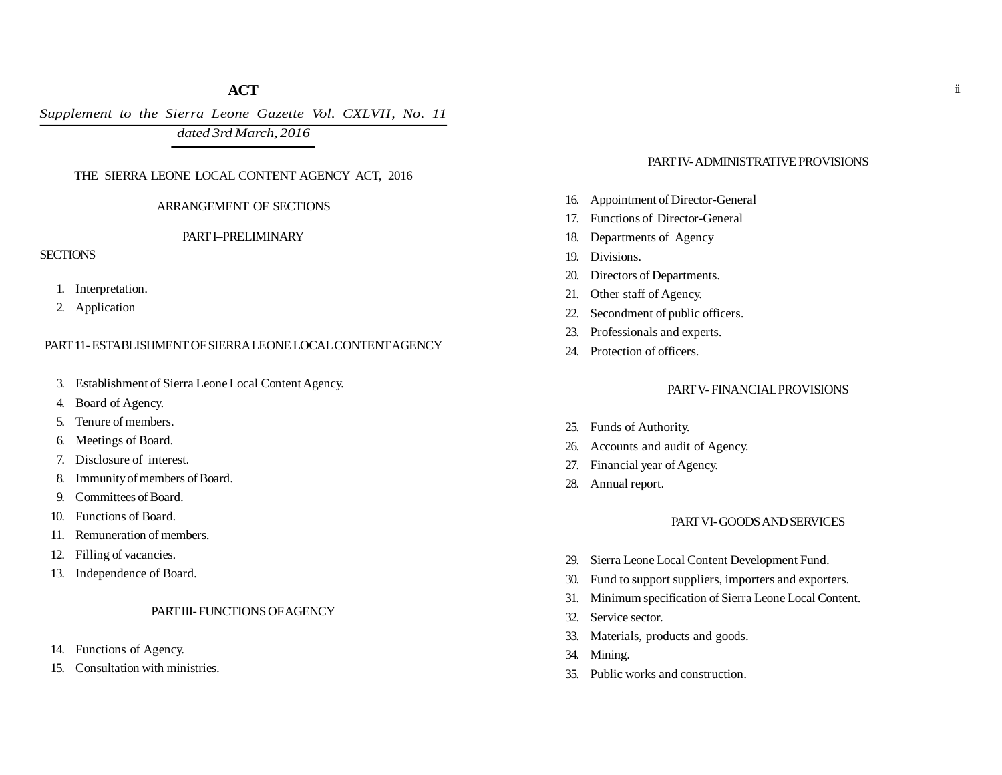## **ACT**

*Supplement to the Sierra Leone Gazette Vol. CXLVII, No. 11*

*dated 3rd March, 2016*

### THE SIERRA LEONE LOCAL CONTENT AGENCY ACT, 2016

### ARRANGEMENT OF SECTIONS

#### PART I–PRELIMINARY

## **SECTIONS**

- 1. Interpretation.
- 2. Application

## PART 11- ESTABLISHMENT OF SIERRA LEONE LOCAL CONTENT AGENCY

- 3. Establishment of Sierra Leone Local Content Agency.
- 4. Board of Agency.
- 5. Tenure of members.
- 6. Meetings of Board.
- 7. Disclosure of interest.
- 8. Immunity of members of Board.
- 9. Committees of Board.
- 10. Functions of Board.
- 11. Remuneration of members.
- 12. Filling of vacancies.
- 13. Independence of Board.

## PART III- FUNCTIONS OF AGENCY

- 14. Functions of Agency.
- 15. Consultation with ministries.

## PART IV- ADMINISTRATIVE PROVISIONS

- 16. Appointment of Director-General
- 17. Functions of Director-General
- 18. Departments of Agency
- 19. Divisions.
- 20. Directors of Departments.
- 21. Other staff of Agency.
- 22. Secondment of public officers.
- 23. Professionals and experts.
- 24. Protection of officers.

## PART V- FINANCIAL PROVISIONS

- 25. Funds of Authority.
- 26. Accounts and audit of Agency.
- 27. Financial year of Agency.
- 28. Annual report.

### PART VI- GOODS AND SERVICES

- 29. Sierra Leone Local Content Development Fund.
- 30. Fund to support suppliers, importers and exporters.
- 31. Minimum specification of Sierra Leone Local Content.
- 32. Service sector.
- 33. Materials, products and goods.
- 34. Mining.
- 35. Public works and construction.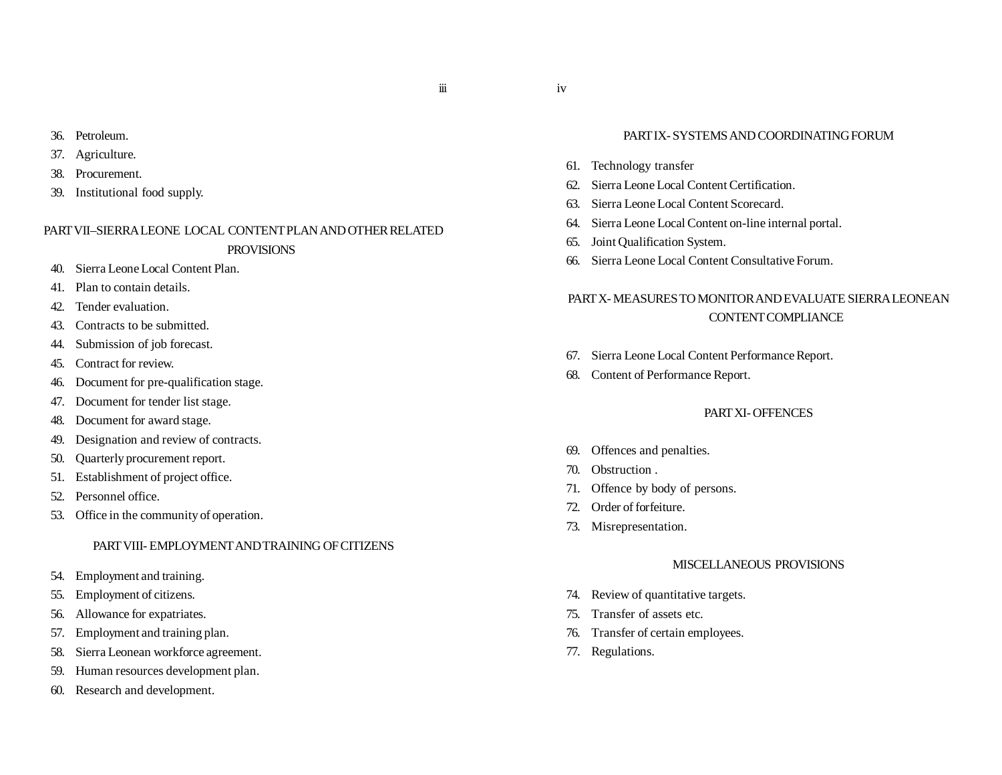iii

- 36. Petroleum.
- 37. Agriculture.
- 38. Procurement.
- 39. Institutional food supply.

# PART VII–SIERRA LEONE LOCAL CONTENT PLAN AND OTHER RELATED **PROVISIONS**

- 40. Sierra Leone Local Content Plan.
- 41. Plan to contain details.
- 42. Tender evaluation.
- 43. Contracts to be submitted.
- 44. Submission of job forecast.
- 45. Contract for review.
- 46. Document for pre-qualification stage.
- 47. Document for tender list stage.
- 48. Document for award stage.
- 49. Designation and review of contracts.
- 50. Quarterly procurement report.
- 51. Establishment of project office.
- 52. Personnel office.
- 53. Office in the community of operation.

## PART VIII- EMPLOYMENT AND TRAINING OF CITIZENS

- 54. Employment and training.
- 55. Employment of citizens.
- 56. Allowance for expatriates.
- 57. Employment and training plan.
- 58. Sierra Leonean workforce agreement.
- 59. Human resources development plan.
- 60. Research and development.

## PART IX- SYSTEMS AND COORDINATING FORUM

- 61. Technology transfer
- 62. Sierra Leone Local Content Certification.
- 63. Sierra Leone Local Content Scorecard.
- 64. Sierra Leone Local Content on-line internal portal.
- 65. Joint Qualification System.
- 66. Sierra Leone Local Content Consultative Forum.

# PART X- MEASURES TO MONITOR AND EVALUATE SIERRA LEONEAN CONTENT COMPLIANCE

- 67. Sierra Leone Local Content Performance Report.
- 68. Content of Performance Report.

## PART XI- OFFENCES

- 69. Offences and penalties.
- 70. Obstruction .
- 71. Offence by body of persons.
- 72. Order of forfeiture.
- 73. Misrepresentation.

## MISCELLANEOUS PROVISIONS

- 74. Review of quantitative targets.
- 75. Transfer of assets etc.
- 76. Transfer of certain employees.
- 77. Regulations.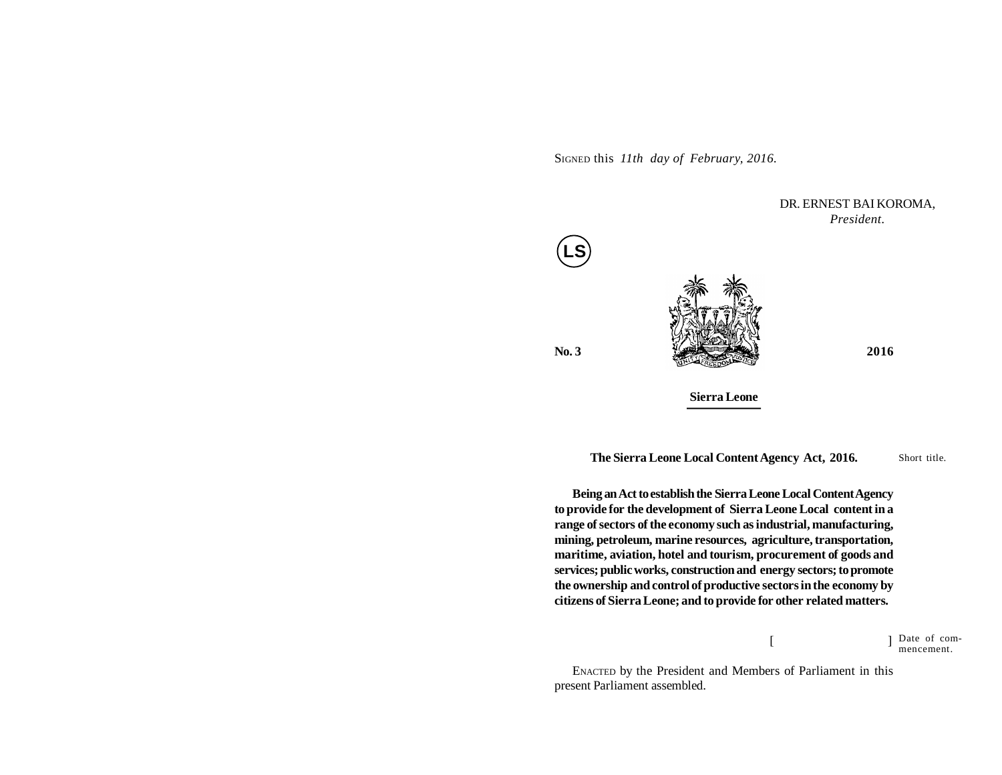SIGNED this *11th day of February, 2016.*

**No. 3 2016 Sierra Leone** DR. ERNEST BAI KOROMA, *President.* **LS**

Short title. **The Sierra Leone Local Content Agency Act, 2016.**

**Being an Act to establish the Sierra Leone Local Content Agency to provide for the development of Sierra Leone Local content in a range of sectors of the economy such as industrial, manufacturing, mining, petroleum, marine resources, agriculture, transportation, maritime, aviation, hotel and tourism, procurement of goods and services; public works, construction and energy sectors; to promote the ownership and control of productive sectors in the economy by citizens of Sierra Leone; and to provide for other related matters.**

> $[$   $]$ Date of commencement.

ENACTED by the President and Members of Parliament in this present Parliament assembled.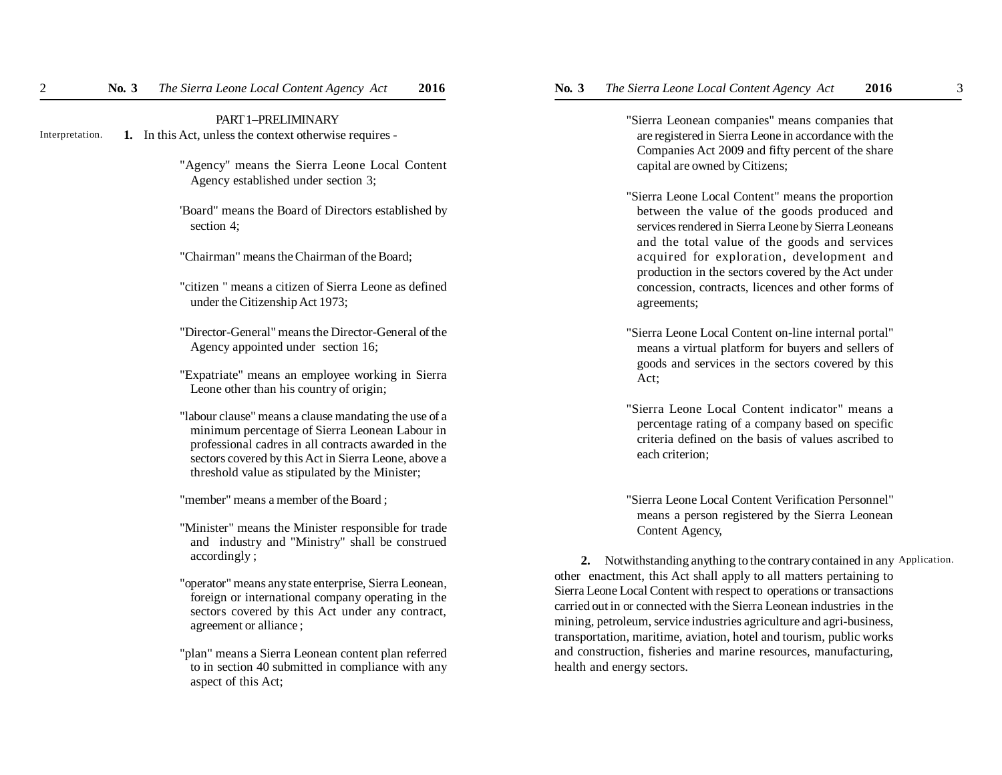## PART 1–PRELIMINARY

- **1.** In this Act, unless the context otherwise requires Interpretation.
	- "Agency" means the Sierra Leone Local Content Agency established under section 3;
	- 'Board" means the Board of Directors established by section 4;
	- "Chairman" means the Chairman of the Board;
	- "citizen " means a citizen of Sierra Leone as defined under the Citizenship Act 1973;
	- "Director-General" means the Director-General of the Agency appointed under section 16;
	- "Expatriate" means an employee working in Sierra Leone other than his country of origin;
	- "labour clause" means a clause mandating the use of a minimum percentage of Sierra Leonean Labour in professional cadres in all contracts awarded in the sectors covered by this Act in Sierra Leone, above a threshold value as stipulated by the Minister;
	- "member" means a member of the Board ;
	- "Minister" means the Minister responsible for trade and industry and "Ministry" shall be construed accordingly ;
	- "operator" means any state enterprise, Sierra Leonean, foreign or international company operating in the sectors covered by this Act under any contract, agreement or alliance ;
	- "plan" means a Sierra Leonean content plan referred to in section 40 submitted in compliance with any aspect of this Act;

"Sierra Leonean companies" means companies that are registered in Sierra Leone in accordance with the Companies Act 2009 and fifty percent of the share capital are owned by Citizens;

- "Sierra Leone Local Content" means the proportion between the value of the goods produced and services rendered in Sierra Leone by Sierra Leoneans and the total value of the goods and services acquired for exploration, development and production in the sectors covered by the Act under concession, contracts, licences and other forms of agreements;
- "Sierra Leone Local Content on-line internal portal" means a virtual platform for buyers and sellers of goods and services in the sectors covered by this Act;
- "Sierra Leone Local Content indicator" means a percentage rating of a company based on specific criteria defined on the basis of values ascribed to each criterion;

"Sierra Leone Local Content Verification Personnel" means a person registered by the Sierra Leonean Content Agency,

 **2.** Notwithstanding anything to the contrary contained in any Application.other enactment, this Act shall apply to all matters pertaining to Sierra Leone Local Content with respect to operations or transactions carried out in or connected with the Sierra Leonean industries in the mining, petroleum, service industries agriculture and agri-business, transportation, maritime, aviation, hotel and tourism, public works and construction, fisheries and marine resources, manufacturing, health and energy sectors.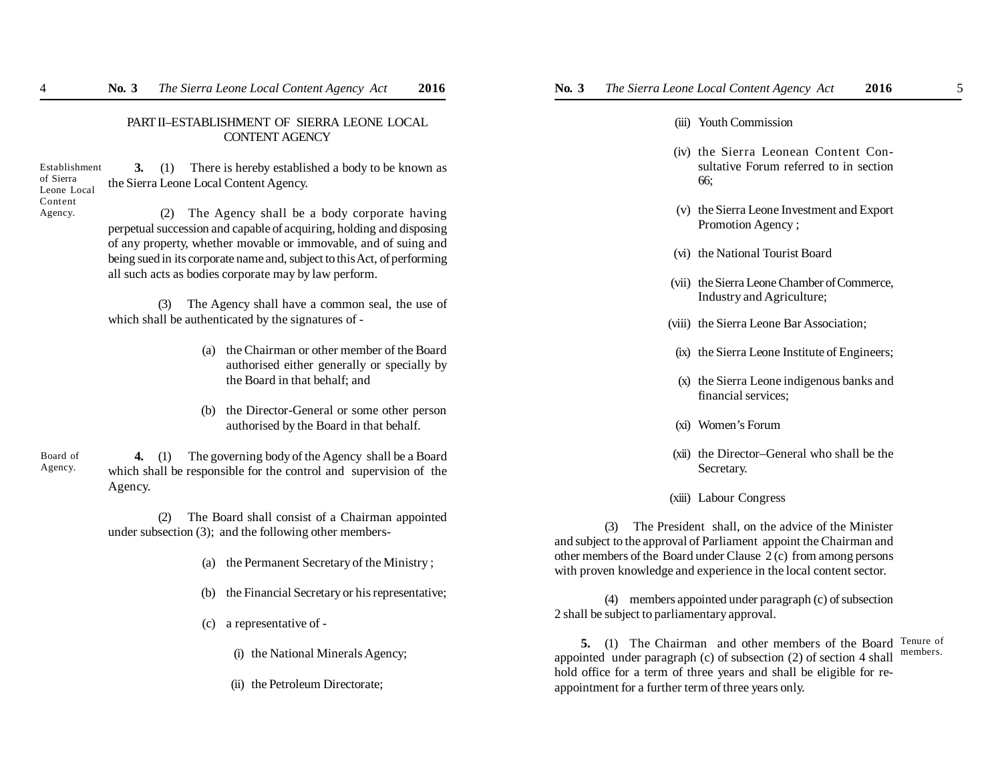## PART II–ESTABLISHMENT OF SIERRA LEONE LOCAL CONTENT AGENCY

Establishment of Sierra Leone Local Content Agency.

**3.** (1) There is hereby established a body to be known as the Sierra Leone Local Content Agency.

 (2) The Agency shall be a body corporate having perpetual succession and capable of acquiring, holding and disposing of any property, whether movable or immovable, and of suing and being sued in its corporate name and, subject to this Act, of performing all such acts as bodies corporate may by law perform.

(3) The Agency shall have a common seal, the use of which shall be authenticated by the signatures of -

- (a) the Chairman or other member of the Board authorised either generally or specially by the Board in that behalf; and
- (b) the Director-General or some other person authorised by the Board in that behalf.

**4.** (1) The governing body of the Agency shall be a Board which shall be responsible for the control and supervision of the Agency. Board of Agency.

> (2) The Board shall consist of a Chairman appointed under subsection (3); and the following other members-

- (a) the Permanent Secretary of the Ministry ;
- (b) the Financial Secretary or his representative;
- (c) a representative of
	- (i) the National Minerals Agency;
	- (ii) the Petroleum Directorate;

## (iii) Youth Commission

- (iv) the Sierra Leonean Content Consultative Forum referred to in section 66;
- (v) the Sierra Leone Investment and Export Promotion Agency ;
- (vi) the National Tourist Board
- (vii) the Sierra Leone Chamber of Commerce, Industry and Agriculture;
- (viii) the Sierra Leone Bar Association;
- (ix) the Sierra Leone Institute of Engineers;
- (x) the Sierra Leone indigenous banks and financial services;
- (xi) Women's Forum
- (xii) the Director–General who shall be the Secretary.
- (xiii) Labour Congress

(3) The President shall, on the advice of the Minister and subject to the approval of Parliament appoint the Chairman and other members of the Board under Clause 2 (c) from among persons with proven knowledge and experience in the local content sector.

(4) members appointed under paragraph (c) of subsection 2 shall be subject to parliamentary approval.

**5.** (1) The Chairman and other members of the Board Tenure of appointed under paragraph (c) of subsection (2) of section 4 shall hold office for a term of three years and shall be eligible for reappointment for a further term of three years only. members.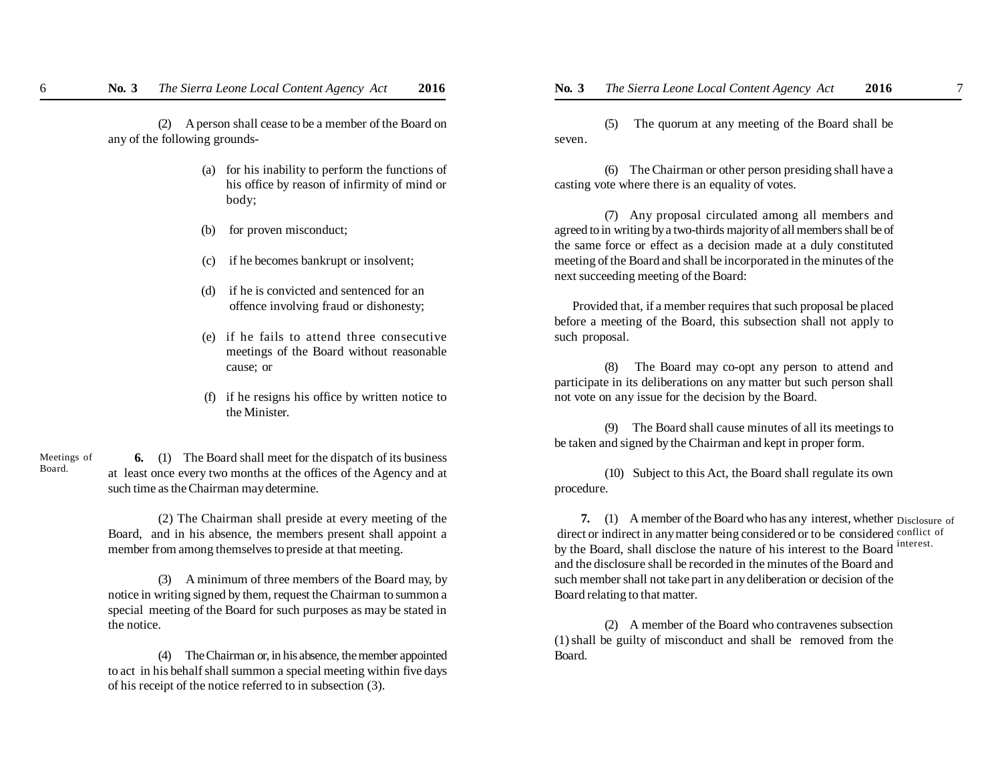(2) A person shall cease to be a member of the Board on any of the following grounds-

- (a) for his inability to perform the functions of his office by reason of infirmity of mind or body;
- (b) for proven misconduct;
- (c) if he becomes bankrupt or insolvent;
- (d) if he is convicted and sentenced for an offence involving fraud or dishonesty;
- (e) if he fails to attend three consecutive meetings of the Board without reasonable cause; or
- (f) if he resigns his office by written notice to the Minister.

**6.** (1) The Board shall meet for the dispatch of its business at least once every two months at the offices of the Agency and at such time as the Chairman may determine. Meetings of Board.

> (2) The Chairman shall preside at every meeting of the Board, and in his absence, the members present shall appoint a member from among themselves to preside at that meeting.

> (3) A minimum of three members of the Board may, by notice in writing signed by them, request the Chairman to summon a special meeting of the Board for such purposes as may be stated in the notice.

> (4) The Chairman or, in his absence, the member appointed to act in his behalf shall summon a special meeting within five days of his receipt of the notice referred to in subsection (3).

(5) The quorum at any meeting of the Board shall be seven.

(6) The Chairman or other person presiding shall have a casting vote where there is an equality of votes.

(7) Any proposal circulated among all members and agreed to in writing by a two-thirds majority of all members shall be of the same force or effect as a decision made at a duly constituted meeting of the Board and shall be incorporated in the minutes of the next succeeding meeting of the Board:

Provided that, if a member requires that such proposal be placed before a meeting of the Board, this subsection shall not apply to such proposal.

(8) The Board may co-opt any person to attend and participate in its deliberations on any matter but such person shall not vote on any issue for the decision by the Board.

(9) The Board shall cause minutes of all its meetings to be taken and signed by the Chairman and kept in proper form.

(10) Subject to this Act, the Board shall regulate its own procedure.

**7.** (1) A member of the Board who has any interest, whether Disclosure of direct or indirect in any matter being considered or to be considered conflict of by the Board, shall disclose the nature of his interest to the Board interest. and the disclosure shall be recorded in the minutes of the Board and such member shall not take part in any deliberation or decision of the Board relating to that matter.

(2) A member of the Board who contravenes subsection (1) shall be guilty of misconduct and shall be removed from the Board.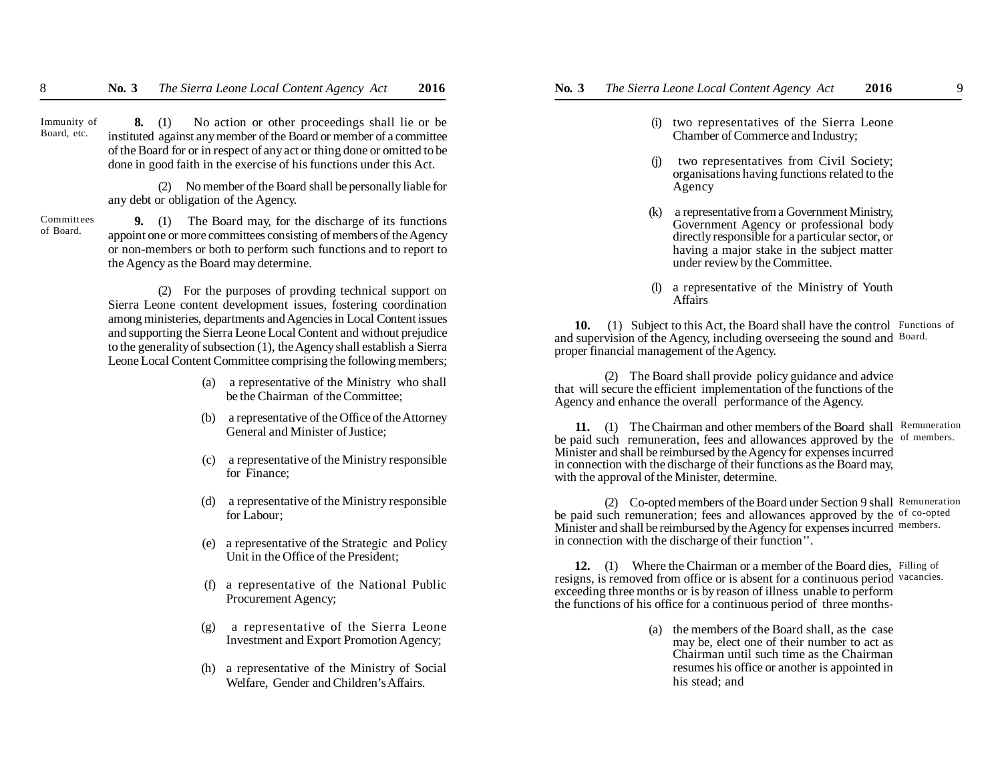**8.** (1) No action or other proceedings shall lie or be instituted against any member of the Board or member of a committee of the Board for or in respect of any act or thing done or omitted to be done in good faith in the exercise of his functions under this Act. Immunity of Board, etc.

> (2) No member of the Board shall be personally liable for any debt or obligation of the Agency.

**9.** (1) The Board may, for the discharge of its functions appoint one or more committees consisting of members of the Agency or non-members or both to perform such functions and to report to the Agency as the Board may determine. Committees of Board.

> (2) For the purposes of provding technical support on Sierra Leone content development issues, fostering coordination among ministeries, departments and Agencies in Local Content issues and supporting the Sierra Leone Local Content and without prejudice to the generality of subsection (1), the Agency shall establish a Sierra Leone Local Content Committee comprising the following members;

- (a) a representative of the Ministry who shall be the Chairman of the Committee;
- (b) a representative of the Office of the Attorney General and Minister of Justice;
- (c) a representative of the Ministry responsible for Finance;
- (d) a representative of the Ministry responsible for Labour;
- (e) a representative of the Strategic and Policy Unit in the Office of the President;
- (f) a representative of the National Public Procurement Agency;
- (g) a representative of the Sierra Leone Investment and Export Promotion Agency;
- (h) a representative of the Ministry of Social Welfare, Gender and Children's Affairs.
- (i) two representatives of the Sierra Leone Chamber of Commerce and Industry;
- (j) two representatives from Civil Society; organisations having functions related to the Agency
- (k) a representative from a Government Ministry, Government Agency or professional body directly responsible for a particular sector, or having a major stake in the subject matter under review by the Committee.
- (l) a representative of the Ministry of Youth Affairs

10. (1) Subject to this Act, the Board shall have the control Functions of and supervision of the Agency, including overseeing the sound and Board. proper financial management of the Agency.

(2) The Board shall provide policy guidance and advice that will secure the efficient implementation of the functions of the Agency and enhance the overall performance of the Agency.

**11.** (1) The Chairman and other members of the Board shall Remuneration be paid such remuneration, fees and allowances approved by the of members. Minister and shall be reimbursed by the Agency for expenses incurred in connection with the discharge of their functions as the Board may, with the approval of the Minister, determine.

(2) Co-opted members of the Board under Section 9 shall Remuneration be paid such remuneration; fees and allowances approved by the of co-opted Minister and shall be reimbursed by the Agency for expenses incurred members. in connection with the discharge of their function''.

12. (1) Where the Chairman or a member of the Board dies, Filling of resigns, is removed from office or is absent for a continuous period vacancies. exceeding three months or is by reason of illness unable to perform the functions of his office for a continuous period of three months-

> (a) the members of the Board shall, as the case may be, elect one of their number to act as Chairman until such time as the Chairman resumes his office or another is appointed in his stead; and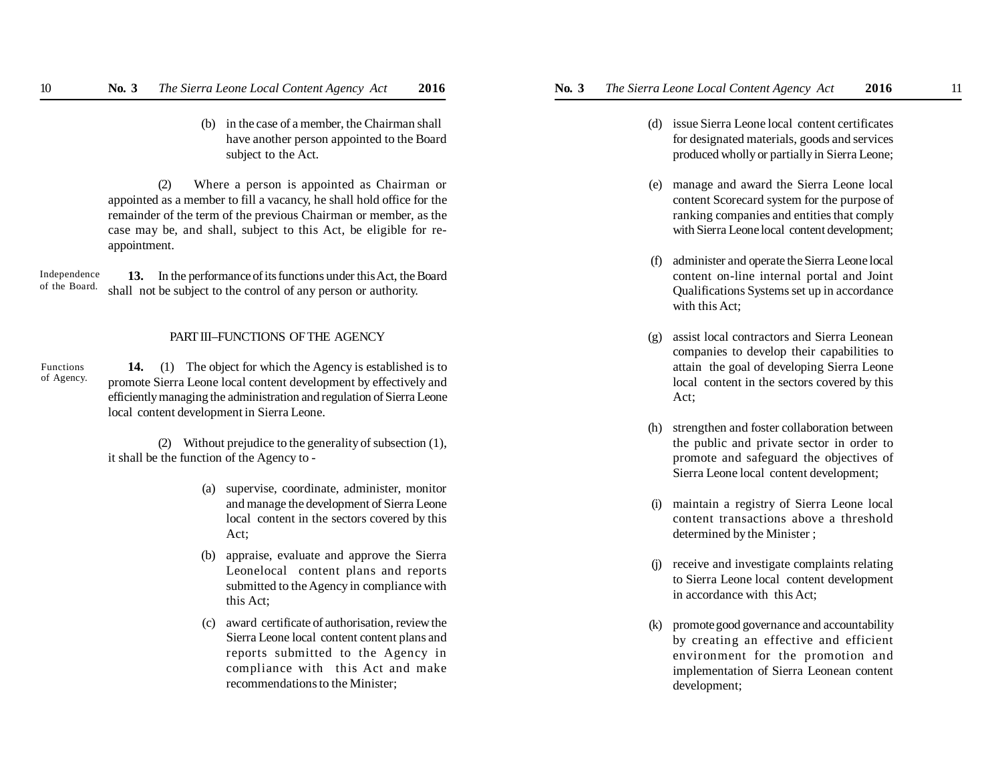(b) in the case of a member, the Chairman shall have another person appointed to the Board subject to the Act.

(2) Where a person is appointed as Chairman or appointed as a member to fill a vacancy, he shall hold office for the remainder of the term of the previous Chairman or member, as the case may be, and shall, subject to this Act, be eligible for reappointment.

**13.** In the performance of its functions under this Act, the Board shall not be subject to the control of any person or authority. Independence of the Board.

### PART III–FUNCTIONS OF THE AGENCY

**14.** (1) The object for which the Agency is established is to promote Sierra Leone local content development by effectively and efficiently managing the administration and regulation of Sierra Leone local content development in Sierra Leone. Functions of Agency.

> (2) Without prejudice to the generality of subsection (1), it shall be the function of the Agency to -

- (a) supervise, coordinate, administer, monitor and manage the development of Sierra Leone local content in the sectors covered by this Act;
- (b) appraise, evaluate and approve the Sierra Leonelocal content plans and reports submitted to the Agency in compliance with this Act;
- (c) award certificate of authorisation, review the Sierra Leone local content content plans and reports submitted to the Agency in compliance with this Act and make recommendations to the Minister;
- - (d) issue Sierra Leone local content certificates for designated materials, goods and services produced wholly or partially in Sierra Leone;
	- (e) manage and award the Sierra Leone local content Scorecard system for the purpose of ranking companies and entities that comply with Sierra Leone local content development;
	- (f) administer and operate the Sierra Leone local content on-line internal portal and Joint Qualifications Systems set up in accordance with this Act;
	- (g) assist local contractors and Sierra Leonean companies to develop their capabilities to attain the goal of developing Sierra Leone local content in the sectors covered by this Act;
	- (h) strengthen and foster collaboration between the public and private sector in order to promote and safeguard the objectives of Sierra Leone local content development;
	- (i) maintain a registry of Sierra Leone local content transactions above a threshold determined by the Minister ;
	- receive and investigate complaints relating to Sierra Leone local content development in accordance with this Act;
	- (k) promotegood governance and accountability by creating an effective and efficient environment for the promotion and implementation of Sierra Leonean content development;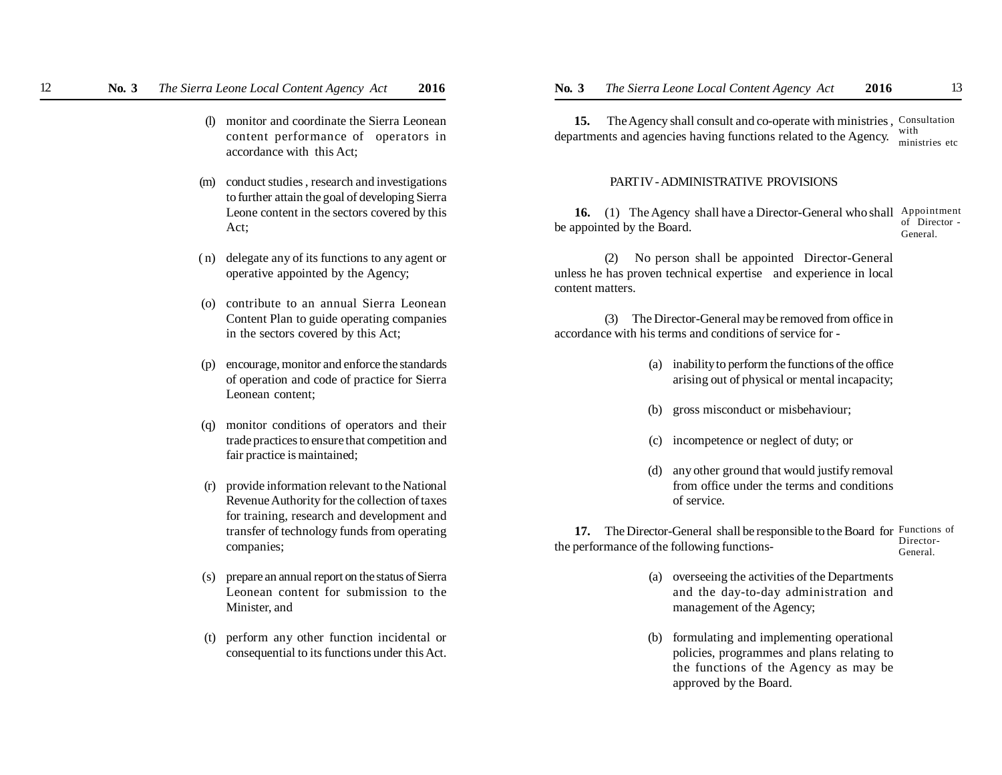- (l) monitor and coordinate the Sierra Leonean content performance of operators in accordance with this Act;
- (m) conduct studies , research and investigations to further attain the goal of developing Sierra Leone content in the sectors covered by this Act;
- ( n) delegate any of its functions to any agent or operative appointed by the Agency;
- (o) contribute to an annual Sierra Leonean Content Plan to guide operating companies in the sectors covered by this Act;
- (p) encourage, monitor and enforce the standards of operation and code of practice for Sierra Leonean content;
- (q) monitor conditions of operators and their trade practices to ensure that competition and fair practice is maintained;
- (r) provide information relevant to the National Revenue Authority for the collection of taxes for training, research and development and transfer of technology funds from operating companies;
- (s) prepare an annual report on the status of Sierra Leonean content for submission to the Minister, and
- (t) perform any other function incidental or consequential to its functions under this Act.

**15.** The Agency shall consult and co-operate with ministries, Consultation departments and agencies having functions related to the Agency. with ministries etc

#### PART IV - ADMINISTRATIVE PROVISIONS

16. (1) The Agency shall have a Director-General who shall Appointment be appointed by the Board. of Director - General.

(2) No person shall be appointed Director-General unless he has proven technical expertise and experience in local content matters.

(3) The Director-General may be removed from office in accordance with his terms and conditions of service for -

- (a) inability to perform the functions of the office arising out of physical or mental incapacity;
- (b) gross misconduct or misbehaviour;
- (c) incompetence or neglect of duty; or
- (d) any other ground that would justify removal from office under the terms and conditions of service.

**17.** The Director-General shall be responsible to the Board for Functions of the performance of the following functions- Director-General.

- (a) overseeing the activities of the Departments and the day-to-day administration and management of the Agency;
- (b) formulating and implementing operational policies, programmes and plans relating to the functions of the Agency as may be approved by the Board.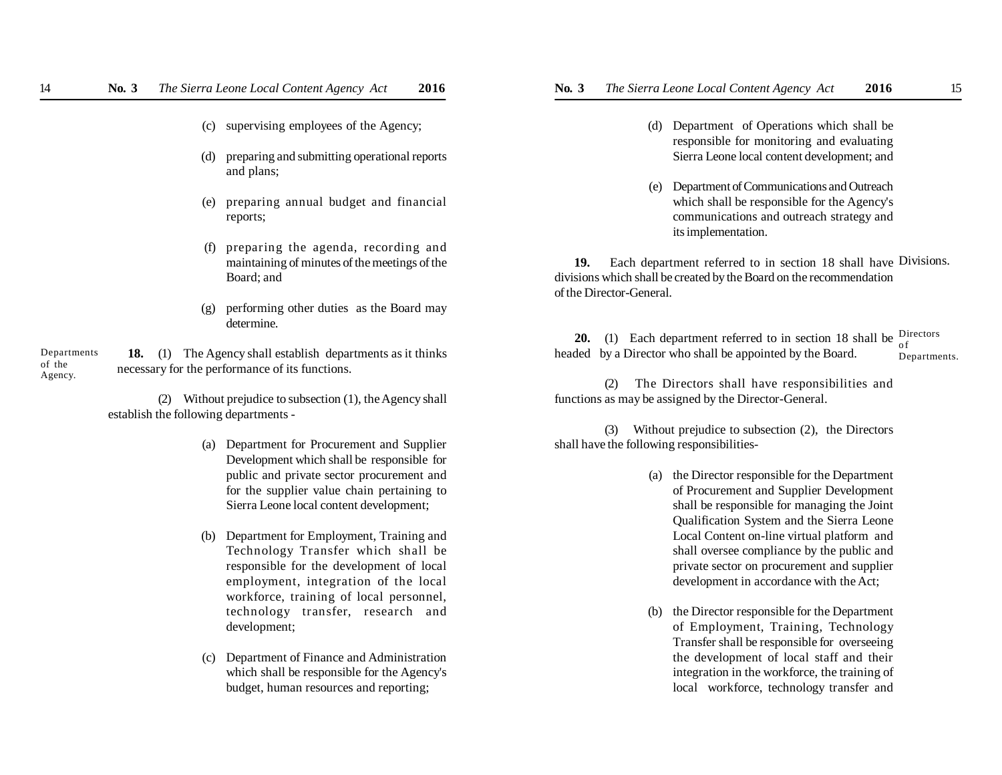- (c) supervising employees of the Agency;
- (d) preparing and submitting operational reports and plans;
- (e) preparing annual budget and financial reports;
- (f) preparing the agenda, recording and maintaining of minutes of the meetings of the Board; and
- (g) performing other duties as the Board may determine.

 **18.** (1) The Agency shall establish departments as it thinks necessary for the performance of its functions. Departments of the Agency.

> (2) Without prejudice to subsection (1), the Agency shall establish the following departments -

- (a) Department for Procurement and Supplier Development which shall be responsible for public and private sector procurement and for the supplier value chain pertaining to Sierra Leone local content development;
- (b) Department for Employment, Training and Technology Transfer which shall be responsible for the development of local employment, integration of the local workforce, training of local personnel, technology transfer, research and development;
- Department of Finance and Administration which shall be responsible for the Agency's budget, human resources and reporting;
- (d) Department of Operations which shall be responsible for monitoring and evaluating Sierra Leone local content development; and
- (e) Department of Communications and Outreach which shall be responsible for the Agency's communications and outreach strategy and its implementation.

**19.** Each department referred to in section 18 shall have Divisions. divisions which shall be created by the Board on the recommendation of the Director-General.

**20.** (1) Each department referred to in section 18 shall be  $\frac{Directions}{of}$ headed by a Director who shall be appointed by the Board. o f Departments.

(2) The Directors shall have responsibilities and functions as may be assigned by the Director-General.

(3) Without prejudice to subsection (2), the Directors shall have the following responsibilities-

- (a) the Director responsible for the Department of Procurement and Supplier Development shall be responsible for managing the Joint Qualification System and the Sierra Leone Local Content on-line virtual platform and shall oversee compliance by the public and private sector on procurement and supplier development in accordance with the Act;
- (b) the Director responsible for the Department of Employment, Training, Technology Transfer shall be responsible for overseeing the development of local staff and their integration in the workforce, the training of local workforce, technology transfer and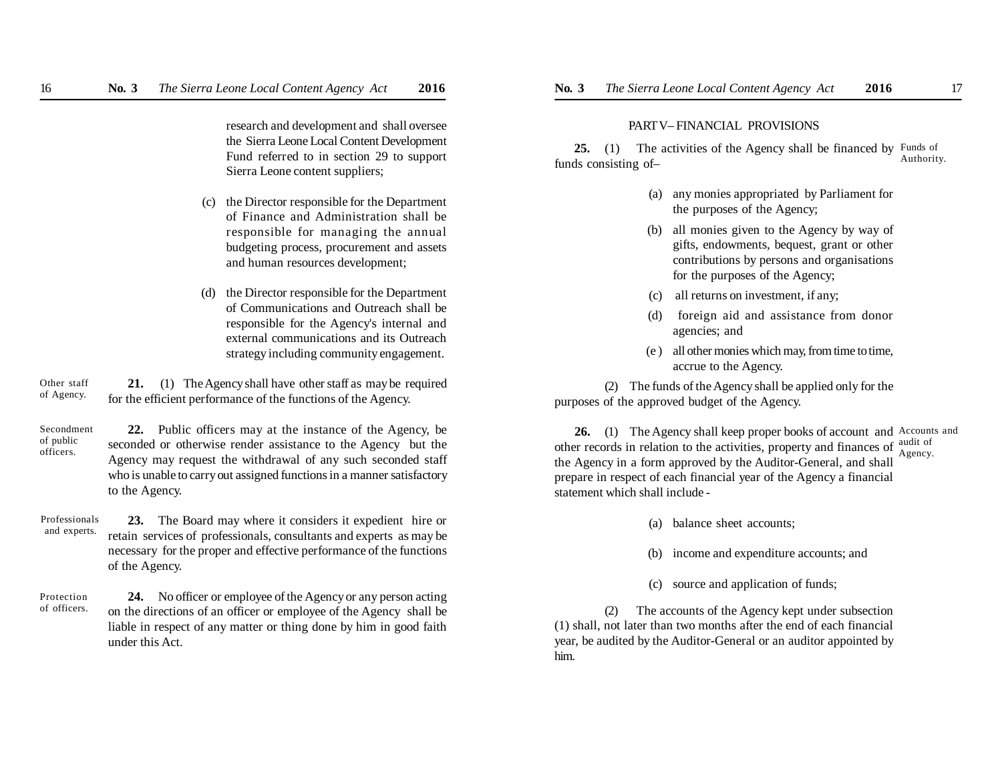research and development and shall oversee the Sierra Leone Local Content Development Fund referred to in section 29 to support Sierra Leone content suppliers;

- (c) the Director responsible for the Department of Finance and Administration shall be responsible for managing the annual budgeting process, procurement and assets and human resources development;
- (d) the Director responsible for the Department of Communications and Outreach shall be responsible for the Agency's internal and external communications and its Outreach strategy including community engagement.

**21.** (1) The Agency shall have other staff as may be required for the efficient performance of the functions of the Agency. Other staff of Agency.

**22.** Public officers may at the instance of the Agency, be seconded or otherwise render assistance to the Agency but the Agency may request the withdrawal of any such seconded staff who is unable to carry out assigned functions in a manner satisfactory to the Agency. Secondment of public officers.

**23.** The Board may where it considers it expedient hire or retain services of professionals, consultants and experts as may be necessary for the proper and effective performance of the functions of the Agency. Professionals and experts.

**24.** No officer or employee of the Agency or any person acting on the directions of an officer or employee of the Agency shall be liable in respect of any matter or thing done by him in good faith under this Act. Protection of officers.

### PART V– FINANCIAL PROVISIONS

**25.** (1) The activities of the Agency shall be financed by Funds of funds consisting of– Authority.

- (a) any monies appropriated by Parliament for the purposes of the Agency;
- (b) all monies given to the Agency by way of gifts, endowments, bequest, grant or other contributions by persons and organisations for the purposes of the Agency;
- (c) all returns on investment, if any;
- (d) foreign aid and assistance from donor agencies; and
- (e ) all other monies which may, from time to time, accrue to the Agency.

(2) The funds of the Agency shall be applied only for the purposes of the approved budget of the Agency.

**26.** (1) The Agency shall keep proper books of account and Accounts and other records in relation to the activities, property and finances of  $\frac{a_{\text{u}}}{\Delta_{\text{QAPON}}}$ the Agency in a form approved by the Auditor-General, and shall prepare in respect of each financial year of the Agency a financial statement which shall include - Agency.

- (a) balance sheet accounts;
- (b) income and expenditure accounts; and
- (c) source and application of funds;

(2) The accounts of the Agency kept under subsection (1) shall, not later than two months after the end of each financial year, be audited by the Auditor-General or an auditor appointed by him.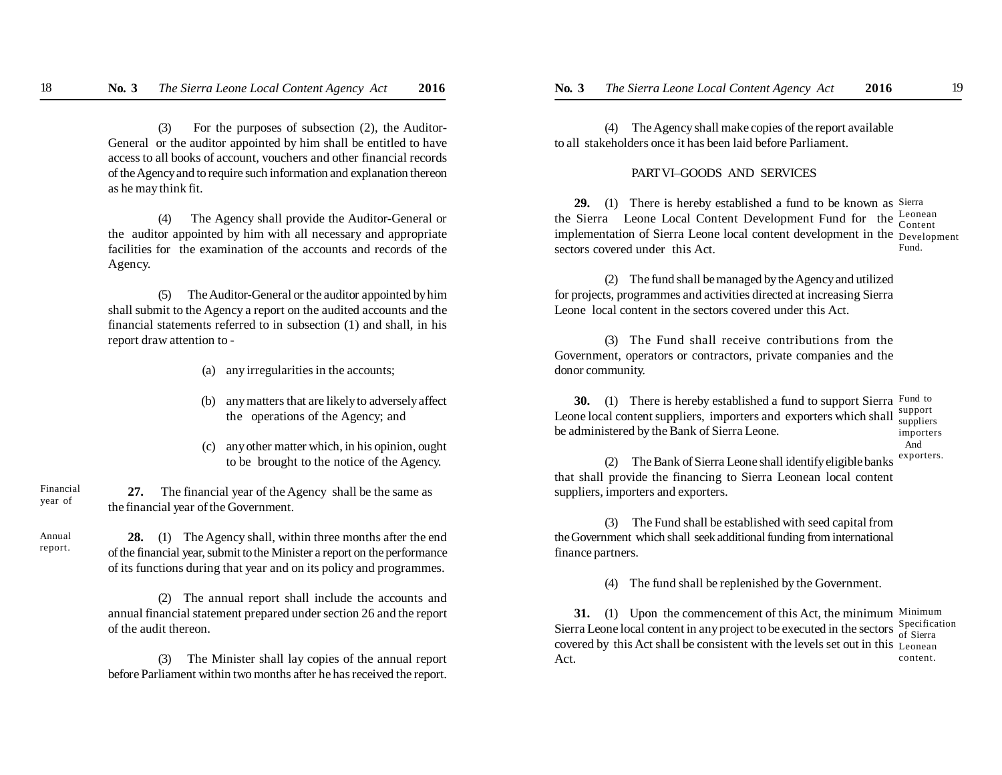(3) For the purposes of subsection (2), the Auditor-General or the auditor appointed by him shall be entitled to have access to all books of account, vouchers and other financial records of the Agency and to require such information and explanation thereon as he may think fit.

(4) The Agency shall provide the Auditor-General or the auditor appointed by him with all necessary and appropriate facilities for the examination of the accounts and records of the Agency.

(5) The Auditor-General or the auditor appointed by him shall submit to the Agency a report on the audited accounts and the financial statements referred to in subsection (1) and shall, in his report draw attention to -

- (a) any irregularities in the accounts;
- (b) any matters that are likely to adversely affect the operations of the Agency; and
- (c) any other matter which, in his opinion, ought to be brought to the notice of the Agency.

**27.** The financial year of the Agency shall be the same as the financial year of the Government. Financial year of

Annual report.

**28.** (1) The Agency shall, within three months after the end of the financial year, submit to the Minister a report on the performance of its functions during that year and on its policy and programmes.

(2) The annual report shall include the accounts and annual financial statement prepared under section 26 and the report of the audit thereon.

(3) The Minister shall lay copies of the annual report before Parliament within two months after he has received the report.

(4) The Agency shall make copies of the report available to all stakeholders once it has been laid before Parliament.

#### PART VI–GOODS AND SERVICES

**29.** (1) There is hereby established a fund to be known as Sierra the Sierra Leone Local Content Development Fund for the Leonean implementation of Sierra Leone local content development in the Development sectors covered under this Act. Content Fund.

(2) The fund shall be managed by the Agency and utilized for projects, programmes and activities directed at increasing Sierra Leone local content in the sectors covered under this Act.

(3) The Fund shall receive contributions from the Government, operators or contractors, private companies and the donor community.

**30.** (1) There is hereby established a fund to support Sierra Fund to Leone local content suppliers, importers and exporters which shall support be administered by the Bank of Sierra Leone. suppliers importers

And

(2) The Bank of Sierra Leone shall identify eligible banks that shall provide the financing to Sierra Leonean local content suppliers, importers and exporters. exporters.

(3) The Fund shall be established with seed capital from the Government which shall seek additional funding from international finance partners.

(4) The fund shall be replenished by the Government.

**31.** (1) Upon the commencement of this Act, the minimum Minimum Sierra Leone local content in any project to be executed in the sectors  $S_{\text{of}}^{\text{Section}}$ covered by this Act shall be consistent with the levels set out in this Leonean Act. of Sierra content.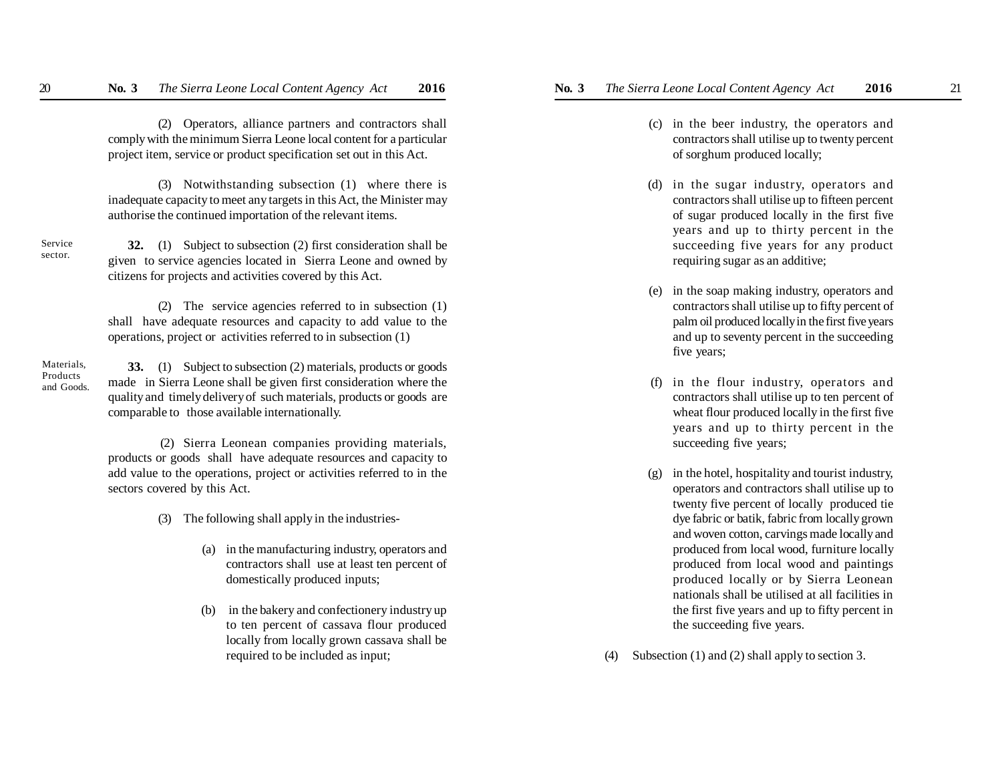(2) Operators, alliance partners and contractors shall comply with the minimum Sierra Leone local content for a particular project item, service or product specification set out in this Act.

(3) Notwithstanding subsection (1) where there is inadequate capacity to meet any targets in this Act, the Minister may authorise the continued importation of the relevant items.

Service sector.

**32.** (1) Subject to subsection (2) first consideration shall be given to service agencies located in Sierra Leone and owned by citizens for projects and activities covered by this Act.

(2) The service agencies referred to in subsection (1) shall have adequate resources and capacity to add value to the operations, project or activities referred to in subsection (1)

Materials, Products and Goods.

**33.** (1) Subject to subsection (2) materials, products or goods made in Sierra Leone shall be given first consideration where the quality and timely delivery of such materials, products or goods are comparable to those available internationally.

 (2) Sierra Leonean companies providing materials, products or goods shall have adequate resources and capacity to add value to the operations, project or activities referred to in the sectors covered by this Act.

(3) The following shall apply in the industries-

- (a) in the manufacturing industry, operators and contractors shall use at least ten percent of domestically produced inputs;
- (b) in the bakery and confectionery industry up to ten percent of cassava flour produced locally from locally grown cassava shall be required to be included as input;
- (c) in the beer industry, the operators and contractors shall utilise up to twenty percent of sorghum produced locally;
- (d) in the sugar industry, operators and contractors shall utilise up to fifteen percent of sugar produced locally in the first five years and up to thirty percent in the succeeding five years for any product requiring sugar as an additive;
- (e) in the soap making industry, operators and contractors shall utilise up to fifty percent of palm oil produced locally in the first five years and up to seventy percent in the succeeding five years;
- (f) in the flour industry, operators and contractors shall utilise up to ten percent of wheat flour produced locally in the first five years and up to thirty percent in the succeeding five years;
- (g) in the hotel, hospitality and tourist industry, operators and contractors shall utilise up to twenty five percent of locally produced tie dye fabric or batik, fabric from locally grown and woven cotton, carvings made locally and produced from local wood, furniture locally produced from local wood and paintings produced locally or by Sierra Leonean nationals shall be utilised at all facilities in the first five years and up to fifty percent in the succeeding five years.
- (4) Subsection (1) and (2) shall apply to section 3.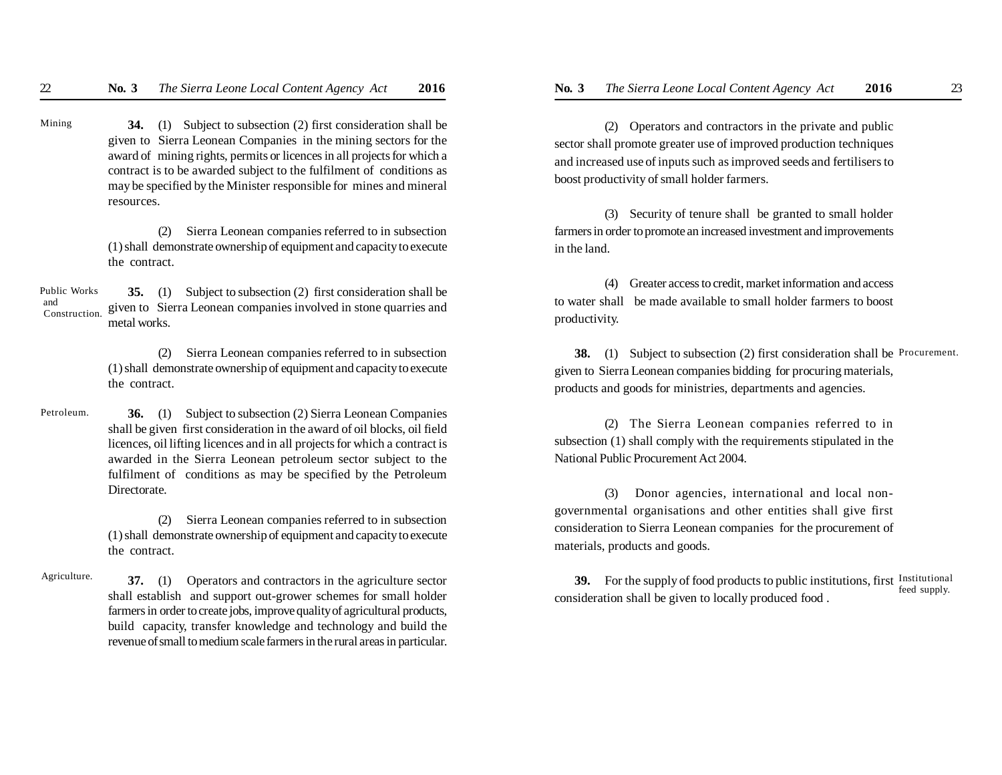**34.** (1) Subject to subsection (2) first consideration shall be given to Sierra Leonean Companies in the mining sectors for the award of mining rights, permits or licences in all projects for which a contract is to be awarded subject to the fulfilment of conditions as may be specified by the Minister responsible for mines and mineral resources. Mining

> (2) Sierra Leonean companies referred to in subsection (1) shall demonstrate ownership of equipment and capacity to execute the contract.

**35.** (1) Subject to subsection (2) first consideration shall be given to Sierra Leonean companies involved in stone quarries and metal works. Public Works and Construction.

> (2) Sierra Leonean companies referred to in subsection (1) shall demonstrate ownership of equipment and capacity to execute the contract.

**36.** (1) Subject to subsection (2) Sierra Leonean Companies shall be given first consideration in the award of oil blocks, oil field licences, oil lifting licences and in all projects for which a contract is awarded in the Sierra Leonean petroleum sector subject to the fulfilment of conditions as may be specified by the Petroleum Directorate. Petroleum.

> (2) Sierra Leonean companies referred to in subsection (1) shall demonstrate ownership of equipment and capacity to execute the contract.

**37.** (1) Operators and contractors in the agriculture sector shall establish and support out-grower schemes for small holder farmers in order to create jobs, improve quality of agricultural products, build capacity, transfer knowledge and technology and build the revenue of small to medium scale farmers in the rural areas in particular. Agriculture.

(2) Operators and contractors in the private and public sector shall promote greater use of improved production techniques and increased use of inputs such as improved seeds and fertilisers to boost productivity of small holder farmers.

(3) Security of tenure shall be granted to small holder farmers in order to promote an increased investment and improvements in the land.

(4) Greater access to credit, market information and access to water shall be made available to small holder farmers to boost productivity.

 **38.** (1) Subject to subsection (2) first consideration shall be Procurement. given to Sierra Leonean companies bidding for procuring materials, products and goods for ministries, departments and agencies.

(2) The Sierra Leonean companies referred to in subsection (1) shall comply with the requirements stipulated in the National Public Procurement Act 2004.

(3) Donor agencies, international and local nongovernmental organisations and other entities shall give first consideration to Sierra Leonean companies for the procurement of materials, products and goods.

**39.** For the supply of food products to public institutions, first Institutional consideration shall be given to locally produced food . feed supply.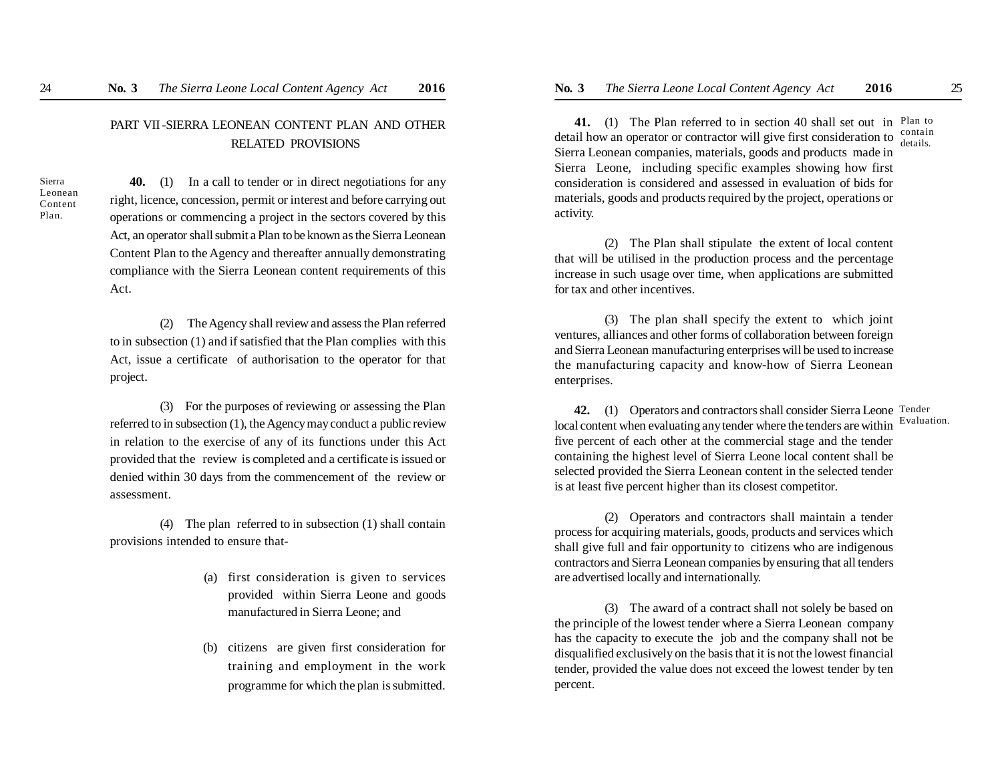## PART VII -SIERRA LEONEAN CONTENT PLAN AND OTHER RELATED PROVISIONS

Sierra Leonean Content Plan.

**40.** (1) In a call to tender or in direct negotiations for any right, licence, concession, permit or interest and before carrying out operations or commencing a project in the sectors covered by this Act, an operator shall submit a Plan to be known as the Sierra Leonean Content Plan to the Agency and thereafter annually demonstrating compliance with the Sierra Leonean content requirements of this Act.

(2) The Agency shall review and assess the Plan referred to in subsection (1) and if satisfied that the Plan complies with this Act, issue a certificate of authorisation to the operator for that project.

(3) For the purposes of reviewing or assessing the Plan referred to in subsection (1), the Agency may conduct a public review in relation to the exercise of any of its functions under this Act provided that the review is completed and a certificate is issued or denied within 30 days from the commencement of the review or assessment.

(4) The plan referred to in subsection (1) shall contain provisions intended to ensure that-

- (a) first consideration is given to services provided within Sierra Leone and goods manufactured in Sierra Leone; and
- (b) citizens are given first consideration for training and employment in the work programme for which the plan is submitted.

41. (1) The Plan referred to in section 40 shall set out in Plan to detail how an operator or contractor will give first consideration to Sierra Leonean companies, materials, goods and products made in Sierra Leone, including specific examples showing how first consideration is considered and assessed in evaluation of bids for materials, goods and products required by the project, operations or activity. contain details.

(2) The Plan shall stipulate the extent of local content that will be utilised in the production process and the percentage increase in such usage over time, when applications are submitted for tax and other incentives.

(3) The plan shall specify the extent to which joint ventures, alliances and other forms of collaboration between foreign and Sierra Leonean manufacturing enterprises will be used to increase the manufacturing capacity and know-how of Sierra Leonean enterprises.

42. (1) Operators and contractors shall consider Sierra Leone Tender local content when evaluating any tender where the tenders are within five percent of each other at the commercial stage and the tender containing the highest level of Sierra Leone local content shall be selected provided the Sierra Leonean content in the selected tender is at least five percent higher than its closest competitor. Evaluation.

(2) Operators and contractors shall maintain a tender process for acquiring materials, goods, products and services which shall give full and fair opportunity to citizens who are indigenous contractors and Sierra Leonean companies by ensuring that all tenders are advertised locally and internationally.

(3) The award of a contract shall not solely be based on the principle of the lowest tender where a Sierra Leonean company has the capacity to execute the job and the company shall not be disqualified exclusively on the basis that it is not the lowest financial tender, provided the value does not exceed the lowest tender by ten percent.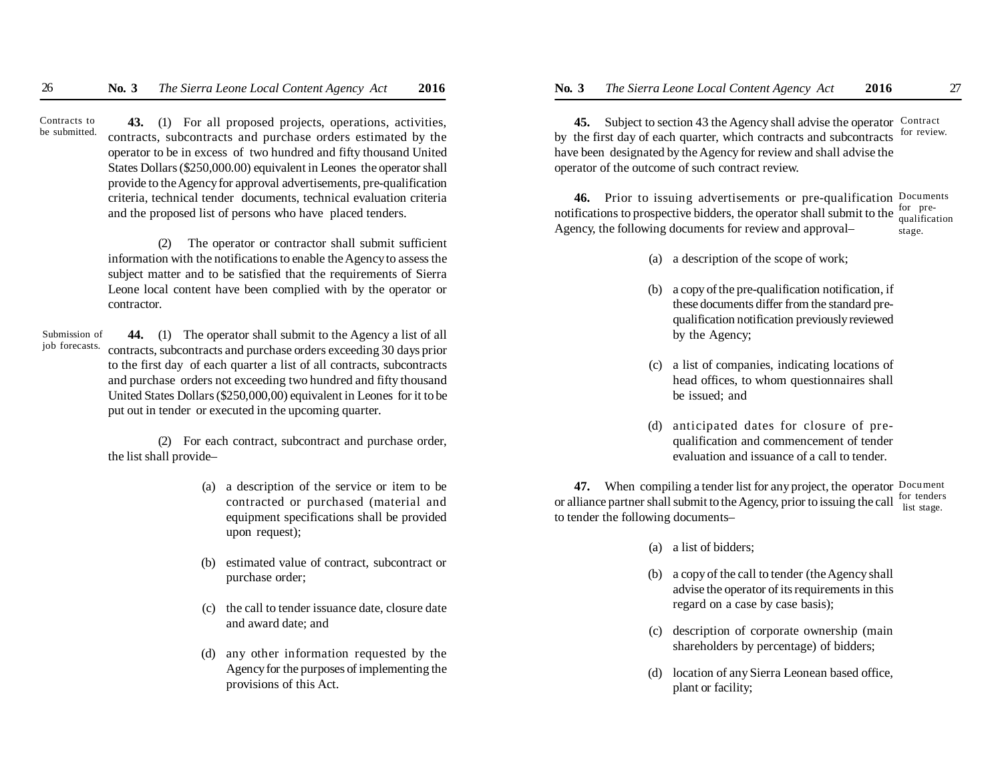**43.** (1) For all proposed projects, operations, activities, contracts, subcontracts and purchase orders estimated by the operator to be in excess of two hundred and fifty thousand United States Dollars (\$250,000.00) equivalent in Leones the operator shall provide to the Agency for approval advertisements, pre-qualification criteria, technical tender documents, technical evaluation criteria and the proposed list of persons who have placed tenders. Contracts to be submitted.

> (2) The operator or contractor shall submit sufficient information with the notifications to enable the Agency to assess the subject matter and to be satisfied that the requirements of Sierra Leone local content have been complied with by the operator or contractor.

 **44.** (1) The operator shall submit to the Agency a list of all contracts, subcontracts and purchase orders exceeding 30 days prior to the first day of each quarter a list of all contracts, subcontracts and purchase orders not exceeding two hundred and fifty thousand United States Dollars (\$250,000,00) equivalent in Leones for it to be put out in tender or executed in the upcoming quarter. Submission of job forecasts.

> (2) For each contract, subcontract and purchase order, the list shall provide–

- (a) a description of the service or item to be contracted or purchased (material and equipment specifications shall be provided upon request);
- (b) estimated value of contract, subcontract or purchase order;
- (c) the call to tender issuance date, closure date and award date; and
- (d) any other information requested by the Agency for the purposes of implementing the provisions of this Act.

45. Subject to section 43 the Agency shall advise the operator Contract by the first day of each quarter, which contracts and subcontracts have been designated by the Agency for review and shall advise the operator of the outcome of such contract review. for review.

**46.** Prior to issuing advertisements or pre-qualification Documents notifications to prospective bidders, the operator shall submit to the Agency, the following documents for review and approval– for prequalification stage.

- (a) a description of the scope of work;
- (b) a copy of the pre-qualification notification, if these documents differ from the standard prequalification notification previously reviewed by the Agency;
- (c) a list of companies, indicating locations of head offices, to whom questionnaires shall be issued; and
- (d) anticipated dates for closure of prequalification and commencement of tender evaluation and issuance of a call to tender.

**47.** When compiling a tender list for any project, the operator Document or alliance partner shall submit to the Agency, prior to issuing the call  $\frac{1}{1}$  ist stage to tender the following documents– list stage.

- (a) a list of bidders;
- (b) a copy of the call to tender (the Agency shall advise the operator of its requirements in this regard on a case by case basis);
- (c) description of corporate ownership (main shareholders by percentage) of bidders;
- (d) location of any Sierra Leonean based office, plant or facility;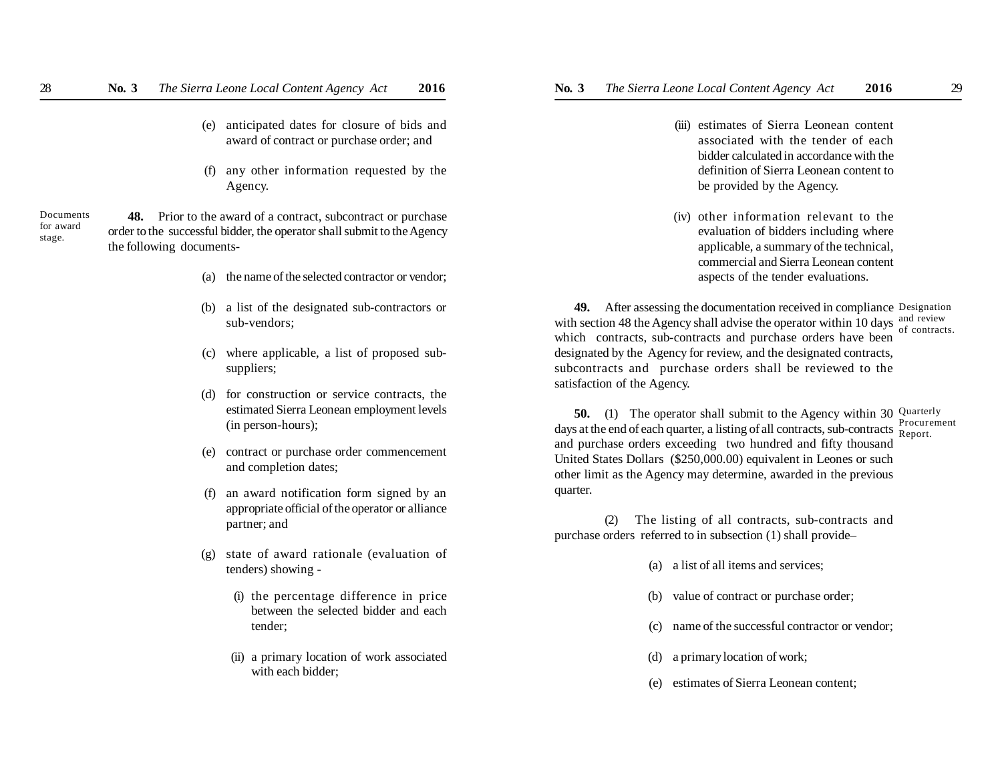- (e) anticipated dates for closure of bids and award of contract or purchase order; and
- (f) any other information requested by the Agency.

Documents for award stage.

- **48.** Prior to the award of a contract, subcontract or purchase order to the successful bidder, the operator shall submit to the Agency the following documents-
	- (a) the name of the selected contractor or vendor;
	- (b) a list of the designated sub-contractors or sub-vendors;
	- (c) where applicable, a list of proposed subsuppliers;
	- (d) for construction or service contracts, the estimated Sierra Leonean employment levels (in person-hours);
	- (e) contract or purchase order commencement and completion dates;
	- (f) an award notification form signed by an appropriate official of the operator or alliance partner; and
	- state of award rationale (evaluation of tenders) showing -
		- (i) the percentage difference in price between the selected bidder and each tender;
		- (ii) a primary location of work associated with each bidder;
- - (iii) estimates of Sierra Leonean content associated with the tender of each bidder calculated in accordance with the definition of Sierra Leonean content to be provided by the Agency.
	- (iv) other information relevant to the evaluation of bidders including where applicable, a summary of the technical, commercial and Sierra Leonean content aspects of the tender evaluations.

**49.** After assessing the documentation received in compliance Designation with section 48 the Agency shall advise the operator within  $\overline{10}$  days and review which contracts, sub-contracts and purchase orders have been designated by the Agency for review, and the designated contracts, subcontracts and purchase orders shall be reviewed to the satisfaction of the Agency. of contracts.

**50.** (1) The operator shall submit to the Agency within 30 Quarterly days at the end of each quarter, a listing of all contracts, sub-contracts and purchase orders exceeding two hundred and fifty thousand United States Dollars (\$250,000.00) equivalent in Leones or such other limit as the Agency may determine, awarded in the previous quarter. Procurement Report.

(2) The listing of all contracts, sub-contracts and purchase orders referred to in subsection (1) shall provide–

- (a) a list of all items and services;
- (b) value of contract or purchase order;
- (c) name of the successful contractor or vendor;
- (d) a primary location of work;
- (e) estimates of Sierra Leonean content;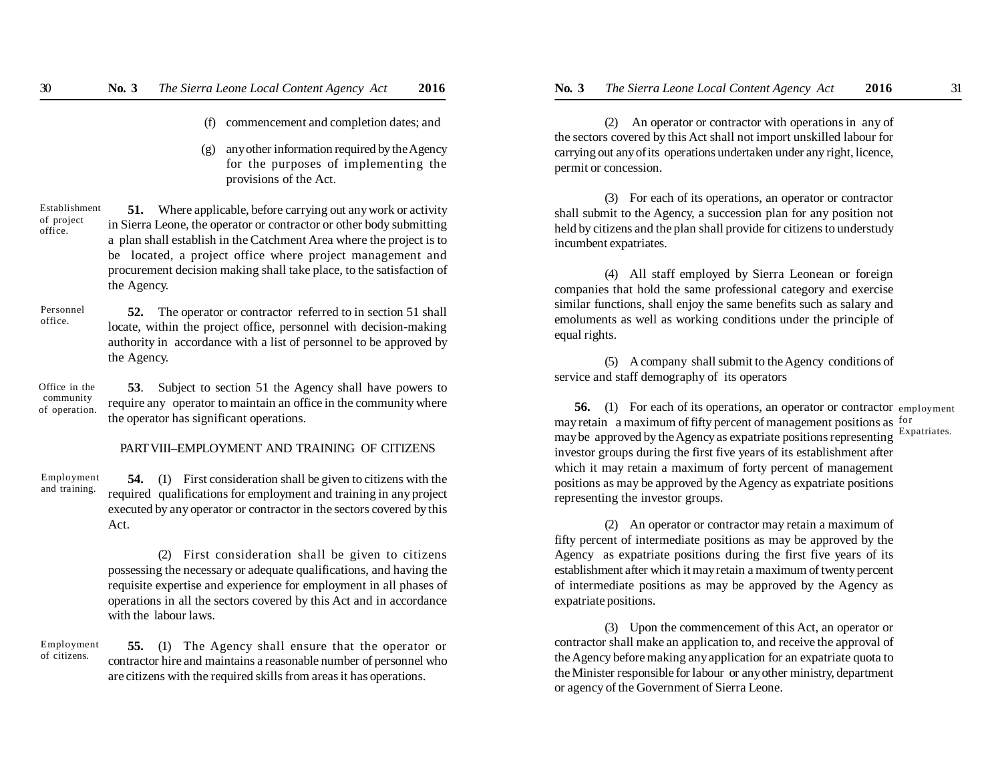- (f) commencement and completion dates; and
- (g) any other information required by the Agency for the purposes of implementing the provisions of the Act.

**51.** Where applicable, before carrying out any work or activity in Sierra Leone, the operator or contractor or other body submitting a plan shall establish in the Catchment Area where the project is to be located, a project office where project management and procurement decision making shall take place, to the satisfaction of the Agency. Establishment of project office.

**52.** The operator or contractor referred to in section 51 shall locate, within the project office, personnel with decision-making authority in accordance with a list of personnel to be approved by the Agency. Personnel office.

**53**. Subject to section 51 the Agency shall have powers to require any operator to maintain an office in the community where the operator has significant operations. Office in the community of operation.

### PART VIII–EMPLOYMENT AND TRAINING OF CITIZENS

**54.** (1) First consideration shall be given to citizens with the required qualifications for employment and training in any project executed by any operator or contractor in the sectors covered by this Act. Employment and training.

> (2) First consideration shall be given to citizens possessing the necessary or adequate qualifications, and having the requisite expertise and experience for employment in all phases of operations in all the sectors covered by this Act and in accordance with the labour laws.

 **55.** (1) The Agency shall ensure that the operator or contractor hire and maintains a reasonable number of personnel who are citizens with the required skills from areas it has operations. Employment of citizens.

(2) An operator or contractor with operations in any of the sectors covered by this Act shall not import unskilled labour for carrying out any of its operations undertaken under any right, licence, permit or concession.

(3) For each of its operations, an operator or contractor shall submit to the Agency, a succession plan for any position not held by citizens and the plan shall provide for citizens to understudy incumbent expatriates.

(4) All staff employed by Sierra Leonean or foreign companies that hold the same professional category and exercise similar functions, shall enjoy the same benefits such as salary and emoluments as well as working conditions under the principle of equal rights.

(5) A company shall submit to the Agency conditions of service and staff demography of its operators

**56.** (1) For each of its operations, an operator or contractor employment may retain a maximum of fifty percent of management positions as for may be approved by the Agency as expatriate positions representing investor groups during the first five years of its establishment after which it may retain a maximum of forty percent of management positions as may be approved by the Agency as expatriate positions representing the investor groups. Expatriates.

(2) An operator or contractor may retain a maximum of fifty percent of intermediate positions as may be approved by the Agency as expatriate positions during the first five years of its establishment after which it may retain a maximum of twenty percent of intermediate positions as may be approved by the Agency as expatriate positions.

(3) Upon the commencement of this Act, an operator or contractor shall make an application to, and receive the approval of the Agency before making any application for an expatriate quota to the Minister responsible for labour or any other ministry, department or agency of the Government of Sierra Leone.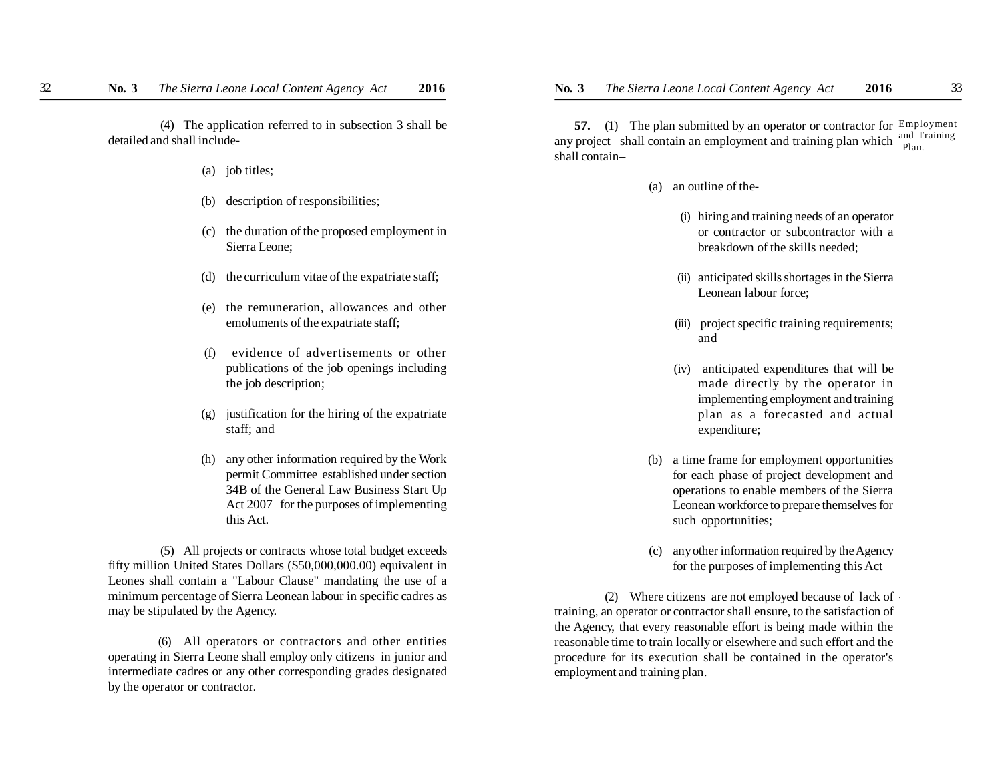(4) The application referred to in subsection 3 shall be detailed and shall include-

- (a) job titles;
- (b) description of responsibilities;
- (c) the duration of the proposed employment in Sierra Leone;
- (d) the curriculum vitae of the expatriate staff;
- (e) the remuneration, allowances and other emoluments of the expatriate staff;
- (f) evidence of advertisements or other publications of the job openings including the job description;
- (g) justification for the hiring of the expatriate staff; and
- (h) any other information required by the Work permit Committee established under section 34B of the General Law Business Start Up Act 2007 for the purposes of implementing this Act.

 (5) All projects or contracts whose total budget exceeds fifty million United States Dollars (\$50,000,000.00) equivalent in Leones shall contain a "Labour Clause" mandating the use of a minimum percentage of Sierra Leonean labour in specific cadres as may be stipulated by the Agency.

(6) All operators or contractors and other entities operating in Sierra Leone shall employ only citizens in junior and intermediate cadres or any other corresponding grades designated by the operator or contractor.

**57.** (1) The plan submitted by an operator or contractor for Employment any project shall contain an employment and training plan which  $\frac{1}{n}$   $\frac{1}{n}$  Training shall contain– Plan.

- (a) an outline of the-
	- (i) hiring and training needs of an operator or contractor or subcontractor with a breakdown of the skills needed;
	- (ii) anticipated skills shortages in the Sierra Leonean labour force;
	- (iii) project specific training requirements; and
	- (iv) anticipated expenditures that will be made directly by the operator in implementing employment and training plan as a forecasted and actual expenditure;
- (b) a time frame for employment opportunities for each phase of project development and operations to enable members of the Sierra Leonean workforce to prepare themselves for such opportunities;
- (c) any other information required by the Agency for the purposes of implementing this Act

(2) Where citizens are not employed because of lack of . training, an operator or contractor shall ensure, to the satisfaction of the Agency, that every reasonable effort is being made within the reasonable time to train locally or elsewhere and such effort and the procedure for its execution shall be contained in the operator's employment and training plan.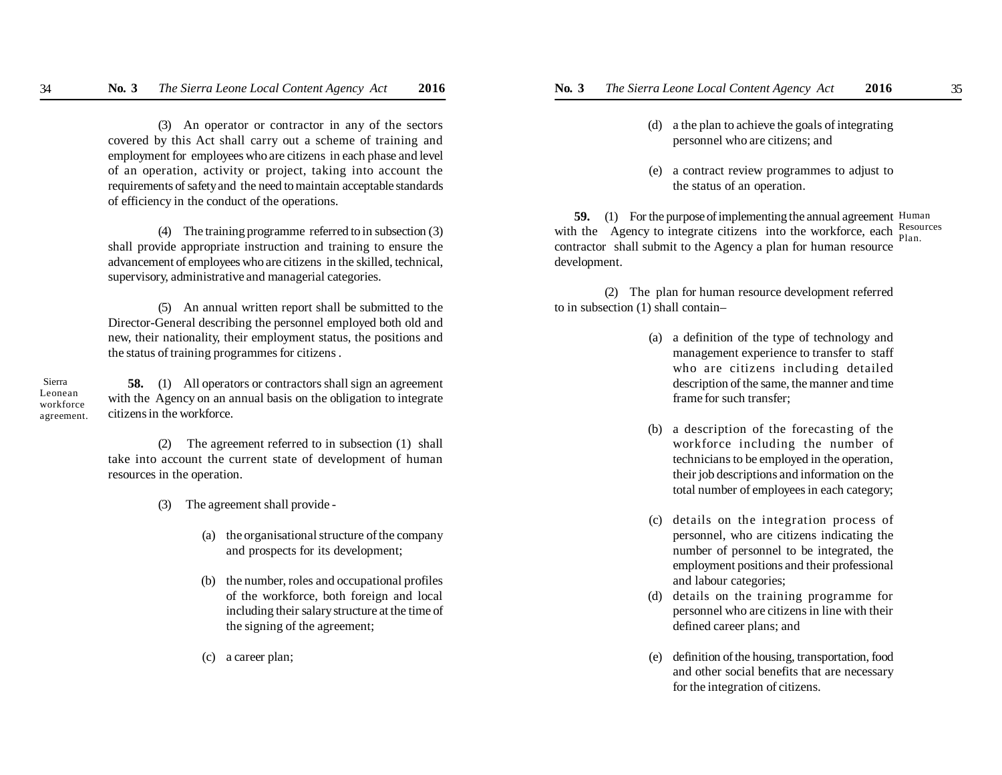(3) An operator or contractor in any of the sectors covered by this Act shall carry out a scheme of training and employment for employees who are citizens in each phase and level of an operation, activity or project, taking into account the requirements of safety and the need to maintain acceptable standards of efficiency in the conduct of the operations.

(4) The training programme referred to in subsection (3) shall provide appropriate instruction and training to ensure the advancement of employees who are citizens in the skilled, technical, supervisory, administrative and managerial categories.

(5) An annual written report shall be submitted to the Director-General describing the personnel employed both old and new, their nationality, their employment status, the positions and the status of training programmes for citizens .

 Sierra Leonean workforce agreement.

**58.** (1) All operators or contractors shall sign an agreement with the Agency on an annual basis on the obligation to integrate citizens in the workforce.

(2) The agreement referred to in subsection (1) shall take into account the current state of development of human resources in the operation.

- (3) The agreement shall provide
	- (a) the organisational structure of the company and prospects for its development;
	- (b) the number, roles and occupational profiles of the workforce, both foreign and local including their salary structure at the time of the signing of the agreement;
	- (c) a career plan;
- (d) a the plan to achieve the goals of integrating personnel who are citizens; and
- (e) a contract review programmes to adjust to the status of an operation.

**59.** (1) For the purpose of implementing the annual agreement Human with the Agency to integrate citizens into the workforce, each  $\frac{Resources}{Plan}$ contractor shall submit to the Agency a plan for human resource development. Plan.

(2) The plan for human resource development referred to in subsection (1) shall contain–

- (a) a definition of the type of technology and management experience to transfer to staff who are citizens including detailed description of the same, the manner and time frame for such transfer;
- (b) a description of the forecasting of the workforce including the number of technicians to be employed in the operation, their job descriptions and information on the total number of employees in each category;
- (c) details on the integration process of personnel, who are citizens indicating the number of personnel to be integrated, the employment positions and their professional and labour categories;
- (d) details on the training programme for personnel who are citizens in line with their defined career plans; and
- (e) definition of the housing, transportation, food and other social benefits that are necessary for the integration of citizens.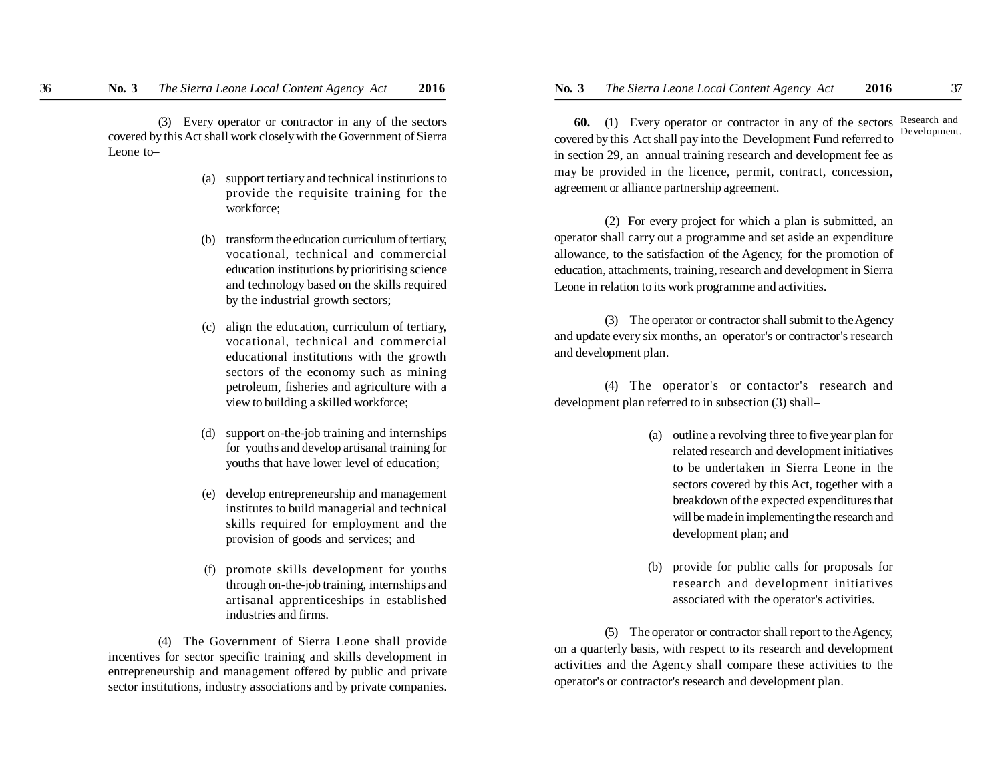(3) Every operator or contractor in any of the sectors covered by this Act shall work closely with the Government of Sierra Leone to–

- (a) support tertiary and technical institutions to provide the requisite training for the workforce;
- transform the education curriculum of tertiary, vocational, technical and commercial education institutions by prioritising science and technology based on the skills required by the industrial growth sectors;
- (c) align the education, curriculum of tertiary, vocational, technical and commercial educational institutions with the growth sectors of the economy such as mining petroleum, fisheries and agriculture with a view to building a skilled workforce;
- (d) support on-the-job training and internships for youths and develop artisanal training for youths that have lower level of education;
- (e) develop entrepreneurship and management institutes to build managerial and technical skills required for employment and the provision of goods and services; and
- (f) promote skills development for youths through on-the-job training, internships and artisanal apprenticeships in established industries and firms.

(4) The Government of Sierra Leone shall provide incentives for sector specific training and skills development in entrepreneurship and management offered by public and private sector institutions, industry associations and by private companies.

**60.** (1) Every operator or contractor in any of the sectors Research and covered by this Act shall pay into the Development Fund referred to in section 29, an annual training research and development fee as may be provided in the licence, permit, contract, concession, agreement or alliance partnership agreement. Development.

(2) For every project for which a plan is submitted, an operator shall carry out a programme and set aside an expenditure allowance, to the satisfaction of the Agency, for the promotion of education, attachments, training, research and development in Sierra Leone in relation to its work programme and activities.

(3) The operator or contractor shall submit to the Agency and update every six months, an operator's or contractor's research and development plan.

(4) The operator's or contactor's research and development plan referred to in subsection (3) shall–

- (a) outline a revolving three to five year plan for related research and development initiatives to be undertaken in Sierra Leone in the sectors covered by this Act, together with a breakdown of the expected expenditures that will be made in implementing the research and development plan; and
- (b) provide for public calls for proposals for research and development initiatives associated with the operator's activities.

(5) The operator or contractor shall report to the Agency, on a quarterly basis, with respect to its research and development activities and the Agency shall compare these activities to the operator's or contractor's research and development plan.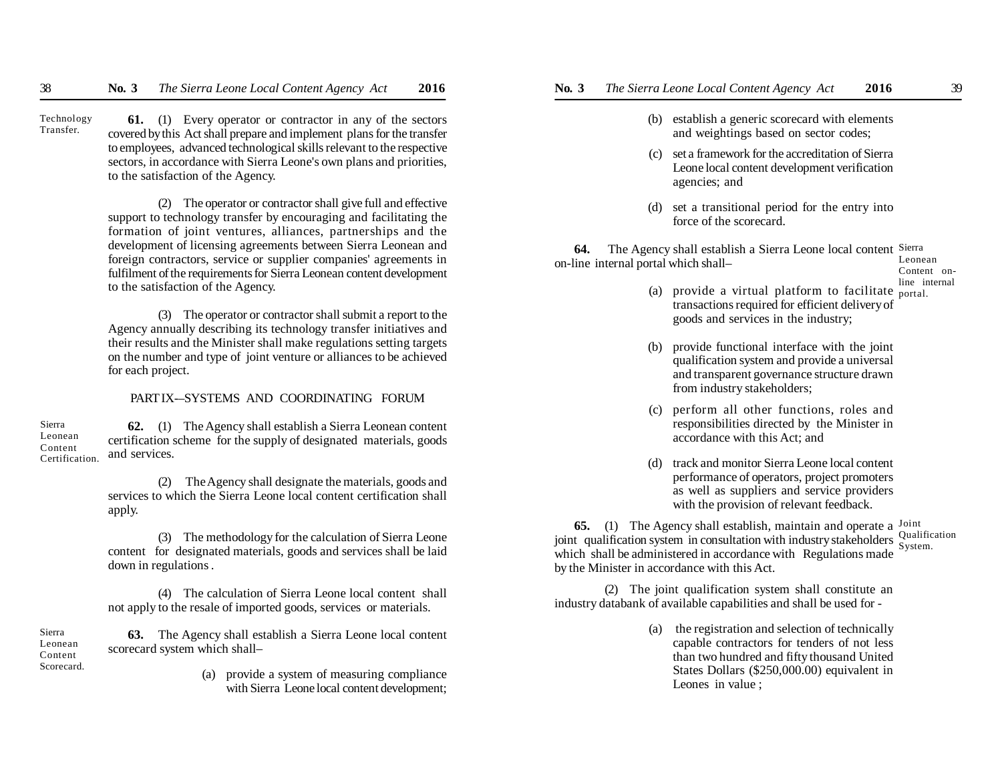**61.** (1) Every operator or contractor in any of the sectors covered by this Act shall prepare and implement plans for the transfer to employees, advanced technological skills relevant to the respective sectors, in accordance with Sierra Leone's own plans and priorities, to the satisfaction of the Agency. Technology Transfer.

> (2) The operator or contractor shall give full and effective support to technology transfer by encouraging and facilitating the formation of joint ventures, alliances, partnerships and the development of licensing agreements between Sierra Leonean and foreign contractors, service or supplier companies' agreements in fulfilment of the requirements for Sierra Leonean content development to the satisfaction of the Agency.

> (3) The operator or contractor shall submit a report to the Agency annually describing its technology transfer initiatives and their results and the Minister shall make regulations setting targets on the number and type of joint venture or alliances to be achieved for each project.

### PART IX-–SYSTEMS AND COORDINATING FORUM

 **62.** (1) The Agency shall establish a Sierra Leonean content certification scheme for the supply of designated materials, goods and services. Sierra Leonean Content Certification.

> (2) The Agency shall designate the materials, goods and services to which the Sierra Leone local content certification shall apply.

> (3) The methodology for the calculation of Sierra Leone content for designated materials, goods and services shall be laid down in regulations .

> (4) The calculation of Sierra Leone local content shall not apply to the resale of imported goods, services or materials.

**63.** The Agency shall establish a Sierra Leone local content scorecard system which shall– Scorecard.

Sierra Leonean Content

> (a) provide a system of measuring compliance with Sierra Leone local content development;

- - (b) establish a generic scorecard with elements and weightings based on sector codes;
	- (c) set a framework for the accreditation of Sierra Leone local content development verification agencies; and
	- (d) set a transitional period for the entry into force of the scorecard.

**64.** The Agency shall establish a Sierra Leone local content Sierra on-line internal portal which shall– Leonean

- (a) provide a virtual platform to facilitate  $_{\text{portal.}}^{11}$ transactions required for efficient delivery of goods and services in the industry;
- (b) provide functional interface with the joint qualification system and provide a universal and transparent governance structure drawn from industry stakeholders;
- (c) perform all other functions, roles and responsibilities directed by the Minister in accordance with this Act; and
- (d) track and monitor Sierra Leone local content performance of operators, project promoters as well as suppliers and service providers with the provision of relevant feedback.

**65.** (1) The Agency shall establish, maintain and operate a <sup>Joint</sup> joint qualification system in consultation with industry stakeholders Qualification which shall be administered in accordance with Regulations made by the Minister in accordance with this Act. System.

(2) The joint qualification system shall constitute an industry databank of available capabilities and shall be used for -

> (a) the registration and selection of technically capable contractors for tenders of not less than two hundred and fifty thousand United States Dollars (\$250,000.00) equivalent in Leones in value ;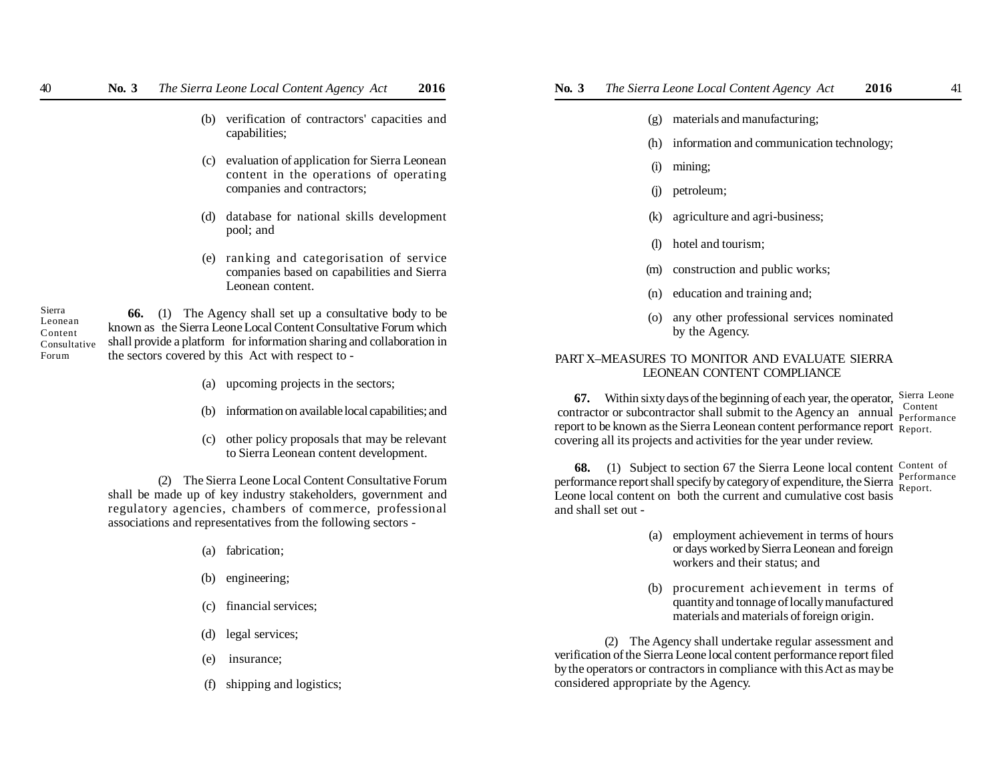- (b) verification of contractors' capacities and capabilities:
- (c) evaluation of application for Sierra Leonean content in the operations of operating companies and contractors;
- (d) database for national skills development pool; and
- (e) ranking and categorisation of service companies based on capabilities and Sierra Leonean content.

Sierra Leonean Content Consultative Forum

- **66.** (1) The Agency shall set up a consultative body to be known as the Sierra Leone Local Content Consultative Forum which shall provide a platform for information sharing and collaboration in the sectors covered by this Act with respect to -
	- (a) upcoming projects in the sectors;
	- (b) information on available local capabilities; and
	- (c) other policy proposals that may be relevant to Sierra Leonean content development.

(2) The Sierra Leone Local Content Consultative Forum shall be made up of key industry stakeholders, government and regulatory agencies, chambers of commerce, professional associations and representatives from the following sectors -

- (a) fabrication;
- (b) engineering;
- (c) financial services;
- (d) legal services;
- (e) insurance;
- 
- (f) shipping and logistics;
- (g) materials and manufacturing;
- (h) information and communication technology;
- (i) mining;
- (j) petroleum;
- (k) agriculture and agri-business;
- (l) hotel and tourism;
- (m) construction and public works;
- (n) education and training and;
- (o) any other professional services nominated by the Agency.

#### PART X–MEASURES TO MONITOR AND EVALUATE SIERRA LEONEAN CONTENT COMPLIANCE

**67.** Within sixty days of the beginning of each year, the operator, Sierra Leone contractor or subcontractor shall submit to the Agency an annual **Perform** report to be known as the Sierra Leonean content performance report Report. covering all its projects and activities for the year under review. Performance

**68.** (1) Subject to section 67 the Sierra Leone local content Content of performance report shall specify by category of expenditure, the Sierra Leone local content on both the current and cumulative cost basis and shall set out - Performance Report.

- (a) employment achievement in terms of hours or days worked by Sierra Leonean and foreign workers and their status; and
- (b) procurement achievement in terms of quantity and tonnage of locally manufactured materials and materials of foreign origin.

(2) The Agency shall undertake regular assessment and verification of the Sierra Leone local content performance report filed by the operators or contractors in compliance with this Act as may be considered appropriate by the Agency.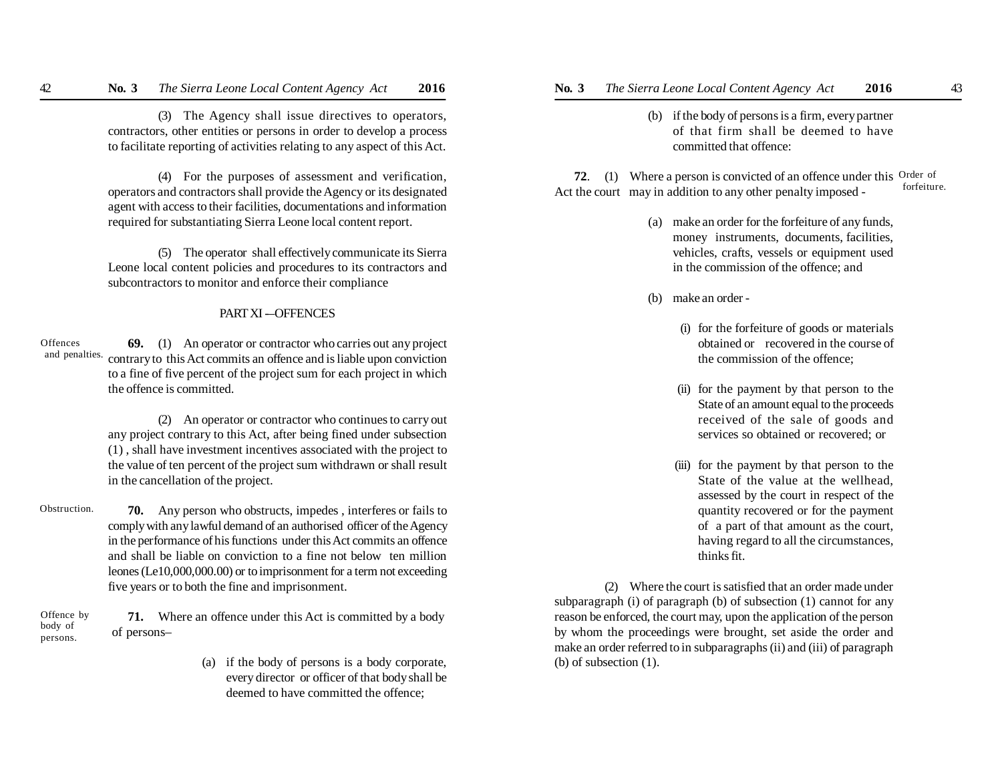(3) The Agency shall issue directives to operators, contractors, other entities or persons in order to develop a process to facilitate reporting of activities relating to any aspect of this Act.

(4) For the purposes of assessment and verification, operators and contractors shall provide the Agency or its designated agent with access to their facilities, documentations and information required for substantiating Sierra Leone local content report.

(5) The operator shall effectively communicate its Sierra Leone local content policies and procedures to its contractors and subcontractors to monitor and enforce their compliance

### PART XI -OFFENCES

**69.** (1) An operator or contractor who carries out any project and penalties. contrary to this Act commits an offence and is liable upon conviction to a fine of five percent of the project sum for each project in which the offence is committed. **Offences** 

> (2) An operator or contractor who continues to carry out any project contrary to this Act, after being fined under subsection (1) , shall have investment incentives associated with the project to the value of ten percent of the project sum withdrawn or shall result in the cancellation of the project.

**70.** Any person who obstructs, impedes , interferes or fails to comply with any lawful demand of an authorised officer of the Agency in the performance of his functions under this Act commits an offence and shall be liable on conviction to a fine not below ten million leones (Le10,000,000.00) or to imprisonment for a term not exceeding five years or to both the fine and imprisonment. Obstruction.

**71.** Where an offence under this Act is committed by a body of persons– Offence by body of persons.

> (a) if the body of persons is a body corporate, every director or officer of that body shall be deemed to have committed the offence;

- - (b) if the body of persons is a firm, every partner of that firm shall be deemed to have committed that offence:

**72**. (1) Where a person is convicted of an offence under this Order of Act the court may in addition to any other penalty imposed forfeiture.

- (a) make an order for the forfeiture of any funds, money instruments, documents, facilities, vehicles, crafts, vessels or equipment used in the commission of the offence; and
- (b) make an order
	- (i) for the forfeiture of goods or materials obtained or recovered in the course of the commission of the offence;
	- (ii) for the payment by that person to the State of an amount equal to the proceeds received of the sale of goods and services so obtained or recovered; or
	- (iii) for the payment by that person to the State of the value at the wellhead, assessed by the court in respect of the quantity recovered or for the payment of a part of that amount as the court, having regard to all the circumstances, thinks fit.

(2) Where the court is satisfied that an order made under subparagraph (i) of paragraph (b) of subsection (1) cannot for any reason be enforced, the court may, upon the application of the person by whom the proceedings were brought, set aside the order and make an order referred to in subparagraphs (ii) and (iii) of paragraph (b) of subsection (1).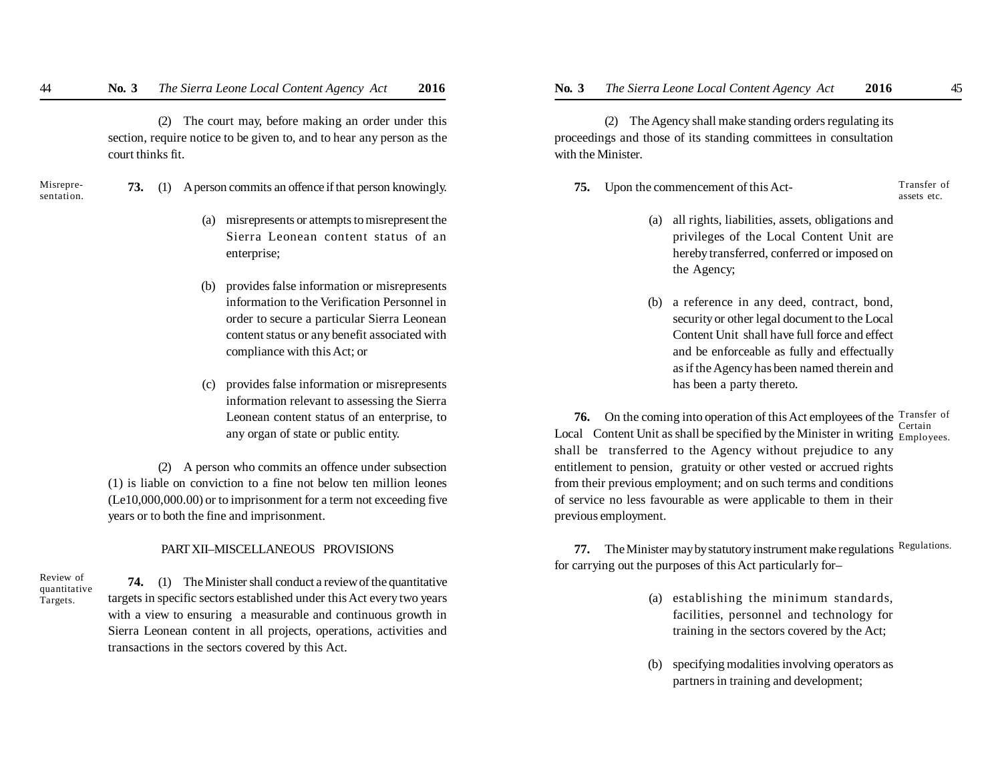(2) The court may, before making an order under this section, require notice to be given to, and to hear any person as the court thinks fit.

- Misrepresentation.
- **73.** (1) A person commits an offence if that person knowingly.
	- (a) misrepresents or attempts to misrepresent the Sierra Leonean content status of an enterprise;
	- (b) provides false information or misrepresents information to the Verification Personnel in order to secure a particular Sierra Leonean content status or any benefit associated with compliance with this Act; or
	- (c) provides false information or misrepresents information relevant to assessing the Sierra Leonean content status of an enterprise, to any organ of state or public entity.

(2) A person who commits an offence under subsection (1) is liable on conviction to a fine not below ten million leones (Le10,000,000.00) or to imprisonment for a term not exceeding five years or to both the fine and imprisonment.

## PART XII–MISCELLANEOUS PROVISIONS

Review of quantitative Targets.

**74.** (1) The Minister shall conduct a review of the quantitative targets in specific sectors established under this Act every two years with a view to ensuring a measurable and continuous growth in Sierra Leonean content in all projects, operations, activities and transactions in the sectors covered by this Act.

(2) The Agency shall make standing orders regulating its proceedings and those of its standing committees in consultation with the Minister.

**75.** Upon the commencement of this Act-

Transfer of assets etc.

- (a) all rights, liabilities, assets, obligations and privileges of the Local Content Unit are hereby transferred, conferred or imposed on the Agency;
- (b) a reference in any deed, contract, bond, security or other legal document to the Local Content Unit shall have full force and effect and be enforceable as fully and effectually as if the Agency has been named therein and has been a party thereto.

**76.** On the coming into operation of this Act employees of the Transfer of Local Content Unit as shall be specified by the Minister in writing  $\frac{\text{y}}{\text{Employes}}$ . shall be transferred to the Agency without prejudice to any entitlement to pension, gratuity or other vested or accrued rights from their previous employment; and on such terms and conditions of service no less favourable as were applicable to them in their previous employment. Certain

**77.** The Minister may by statutory instrument make regulations Regulations. for carrying out the purposes of this Act particularly for–

- (a) establishing the minimum standards, facilities, personnel and technology for training in the sectors covered by the Act;
- (b) specifying modalities involving operators as partners in training and development;